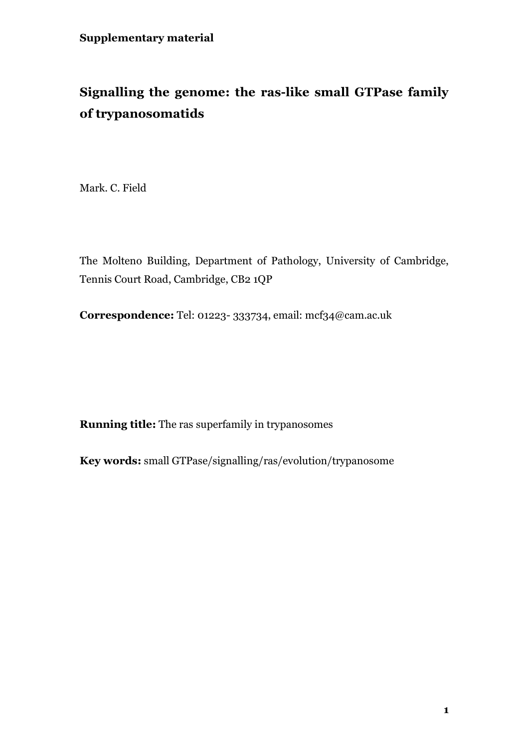# **Signalling the genome: the ras-like small GTPase family of trypanosomatids**

Mark. C. Field

The Molteno Building, Department of Pathology, University of Cambridge, Tennis Court Road, Cambridge, CB2 1QP

**Correspondence:** Tel: 01223- 333734, email: mcf34@cam.ac.uk

**Running title:** The ras superfamily in trypanosomes

**Key words:** small GTPase/signalling/ras/evolution/trypanosome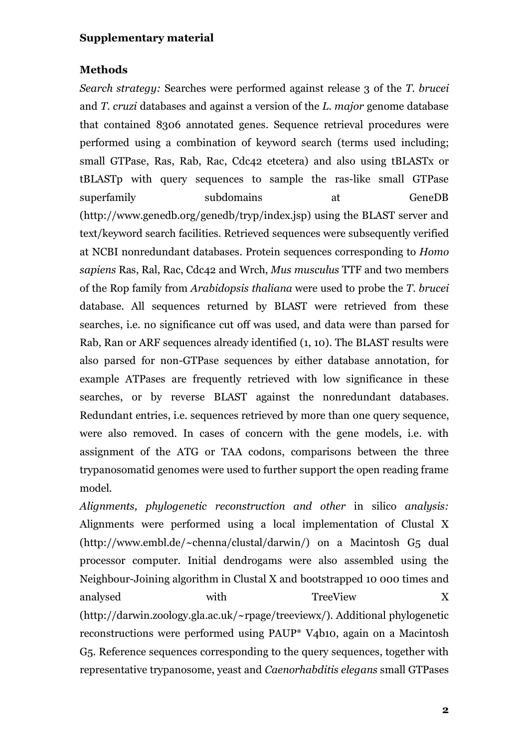#### **Methods**

*Search strategy:* Searches were performed against release 3 of the *T. brucei* and *T. cruzi* databases and against a version of the *L. major* genome database that contained 8306 annotated genes. Sequence retrieval procedures were performed using a combination of keyword search (terms used including; small GTPase, Ras, Rab, Rac, Cdc42 etcetera) and also using tBLASTx or tBLASTp with query sequences to sample the ras-like small GTPase superfamily subdomains at GeneDB (http://www.genedb.org/genedb/tryp/index.jsp) using the BLAST server and text/keyword search facilities. Retrieved sequences were subsequently verified at NCBI nonredundant databases. Protein sequences corresponding to *Homo sapiens* Ras, Ral, Rac, Cdc42 and Wrch, *Mus musculus* TTF and two members of the Rop family from *Arabidopsis thaliana* were used to probe the *T. brucei* database. All sequences returned by BLAST were retrieved from these searches, i.e. no significance cut off was used, and data were than parsed for Rab, Ran or ARF sequences already identified (1, 10). The BLAST results were also parsed for non-GTPase sequences by either database annotation, for example ATPases are frequently retrieved with low significance in these searches, or by reverse BLAST against the nonredundant databases. Redundant entries, i.e. sequences retrieved by more than one query sequence, were also removed. In cases of concern with the gene models, i.e. with assignment of the ATG or TAA codons, comparisons between the three trypanosomatid genomes were used to further support the open reading frame model.

*Alignments, phylogenetic reconstruction and other* in silico *analysis:* Alignments were performed using a local implementation of Clustal X (http://www.embl.de/~chenna/clustal/darwin/) on a Macintosh G5 dual processor computer. Initial dendrogams were also assembled using the Neighbour-Joining algorithm in Clustal X and bootstrapped 10 000 times and analysed with TreeView X (http://darwin.zoology.gla.ac.uk/~rpage/treeviewx/). Additional phylogenetic reconstructions were performed using PAUP\* V4b10, again on a Macintosh G5. Reference sequences corresponding to the query sequences, together with representative trypanosome, yeast and *Caenorhabditis elegans* small GTPases

**2**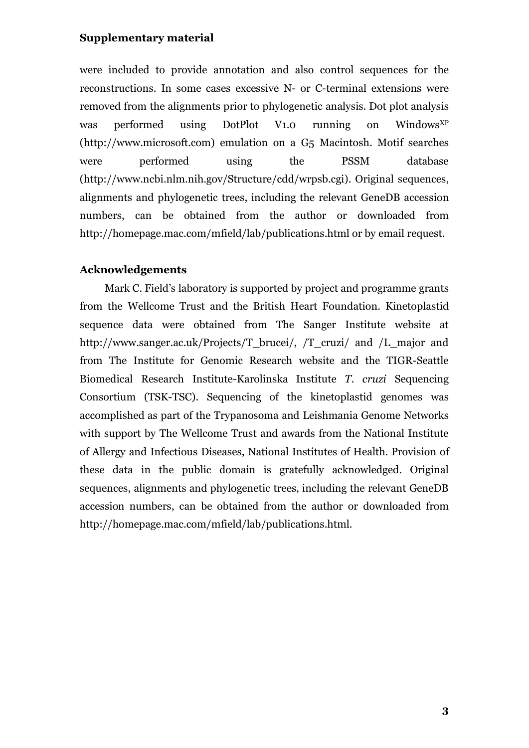were included to provide annotation and also control sequences for the reconstructions. In some cases excessive N- or C-terminal extensions were removed from the alignments prior to phylogenetic analysis. Dot plot analysis was performed using DotPlot V1.0 running on Windows<sup>XP</sup> (http://www.microsoft.com) emulation on a G5 Macintosh. Motif searches were performed using the PSSM database (http://www.ncbi.nlm.nih.gov/Structure/cdd/wrpsb.cgi). Original sequences, alignments and phylogenetic trees, including the relevant GeneDB accession numbers, can be obtained from the author or downloaded from http://homepage.mac.com/mfield/lab/publications.html or by email request.

### **Acknowledgements**

Mark C. Field's laboratory is supported by project and programme grants from the Wellcome Trust and the British Heart Foundation. Kinetoplastid sequence data were obtained from The Sanger Institute website at http://www.sanger.ac.uk/Projects/T\_brucei/, /T\_cruzi/ and /L\_major and from The Institute for Genomic Research website and the TIGR-Seattle Biomedical Research Institute-Karolinska Institute *T. cruzi* Sequencing Consortium (TSK-TSC). Sequencing of the kinetoplastid genomes was accomplished as part of the Trypanosoma and Leishmania Genome Networks with support by The Wellcome Trust and awards from the National Institute of Allergy and Infectious Diseases, National Institutes of Health. Provision of these data in the public domain is gratefully acknowledged. Original sequences, alignments and phylogenetic trees, including the relevant GeneDB accession numbers, can be obtained from the author or downloaded from http://homepage.mac.com/mfield/lab/publications.html.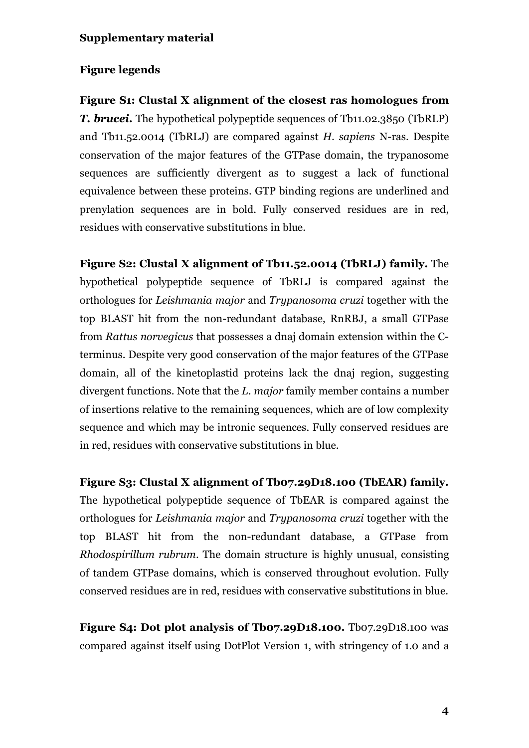## **Figure legends**

**Figure S1: Clustal X alignment of the closest ras homologues from** *T. brucei***.** The hypothetical polypeptide sequences of Tb11.02.3850 (TbRLP) and Tb11.52.0014 (TbRLJ) are compared against *H. sapiens* N-ras. Despite conservation of the major features of the GTPase domain, the trypanosome sequences are sufficiently divergent as to suggest a lack of functional equivalence between these proteins. GTP binding regions are underlined and prenylation sequences are in bold. Fully conserved residues are in red, residues with conservative substitutions in blue.

**Figure S2: Clustal X alignment of Tb11.52.0014 (TbRLJ) family.** The hypothetical polypeptide sequence of TbRLJ is compared against the orthologues for *Leishmania major* and *Trypanosoma cruzi* together with the top BLAST hit from the non-redundant database, RnRBJ, a small GTPase from *Rattus norvegicus* that possesses a dnaj domain extension within the Cterminus. Despite very good conservation of the major features of the GTPase domain, all of the kinetoplastid proteins lack the dnaj region, suggesting divergent functions. Note that the *L. major* family member contains a number of insertions relative to the remaining sequences, which are of low complexity sequence and which may be intronic sequences. Fully conserved residues are in red, residues with conservative substitutions in blue.

**Figure S3: Clustal X alignment of Tb07.29D18.100 (TbEAR) family.** The hypothetical polypeptide sequence of TbEAR is compared against the orthologues for *Leishmania major* and *Trypanosoma cruzi* together with the top BLAST hit from the non-redundant database, a GTPase from *Rhodospirillum rubrum*. The domain structure is highly unusual, consisting of tandem GTPase domains, which is conserved throughout evolution. Fully conserved residues are in red, residues with conservative substitutions in blue.

**Figure S4: Dot plot analysis of Tb07.29D18.100.** Tb07.29D18.100 was compared against itself using DotPlot Version 1, with stringency of 1.0 and a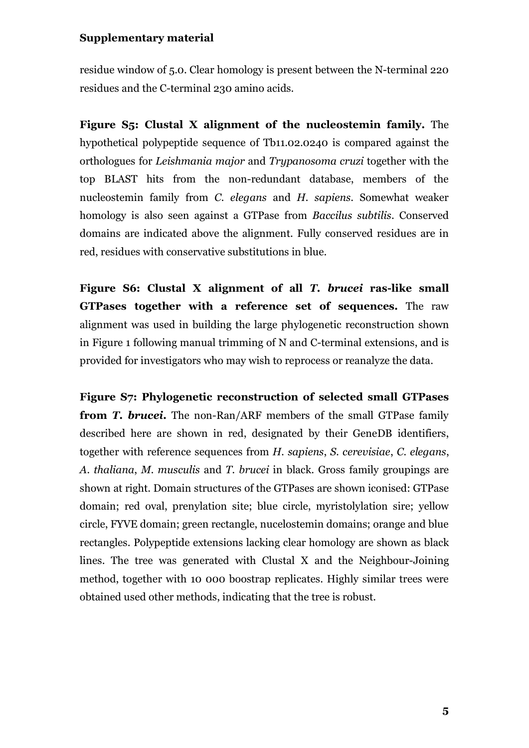residue window of 5.0. Clear homology is present between the N-terminal 220 residues and the C-terminal 230 amino acids.

**Figure S5: Clustal X alignment of the nucleostemin family.** The hypothetical polypeptide sequence of Tb11.02.0240 is compared against the orthologues for *Leishmania major* and *Trypanosoma cruzi* together with the top BLAST hits from the non-redundant database, members of the nucleostemin family from *C. elegans* and *H. sapiens*. Somewhat weaker homology is also seen against a GTPase from *Baccilus subtilis*. Conserved domains are indicated above the alignment. Fully conserved residues are in red, residues with conservative substitutions in blue.

**Figure S6: Clustal X alignment of all** *T. brucei* **ras-like small GTPases together with a reference set of sequences.** The raw alignment was used in building the large phylogenetic reconstruction shown in Figure 1 following manual trimming of N and C-terminal extensions, and is provided for investigators who may wish to reprocess or reanalyze the data.

**Figure S7: Phylogenetic reconstruction of selected small GTPases from** *T. brucei***.** The non-Ran/ARF members of the small GTPase family described here are shown in red, designated by their GeneDB identifiers, together with reference sequences from *H. sapiens*, *S. cerevisiae*, *C. elegans*, *A. thaliana*, *M. musculis* and *T. brucei* in black. Gross family groupings are shown at right. Domain structures of the GTPases are shown iconised: GTPase domain; red oval, prenylation site; blue circle, myristolylation sire; yellow circle, FYVE domain; green rectangle, nucelostemin domains; orange and blue rectangles. Polypeptide extensions lacking clear homology are shown as black lines. The tree was generated with Clustal X and the Neighbour-Joining method, together with 10 000 boostrap replicates. Highly similar trees were obtained used other methods, indicating that the tree is robust.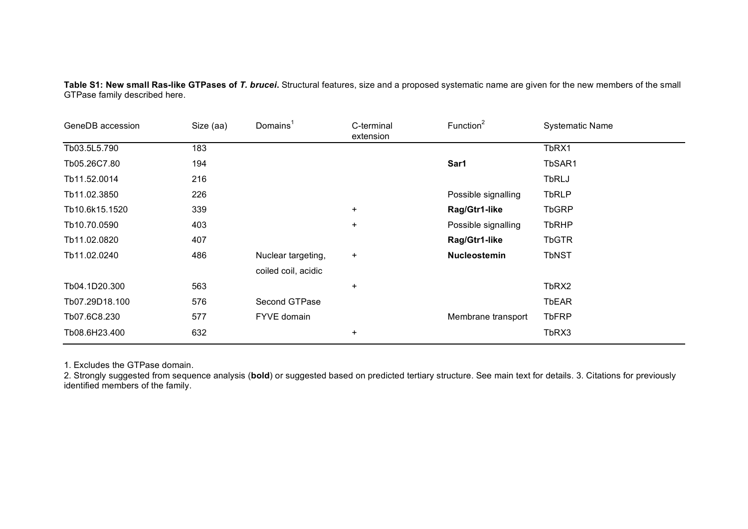**Table S1: New small Ras-like GTPases of** *T. brucei***.** Structural features, size and a proposed systematic name are given for the new members of the small GTPase family described here.

| GeneDB accession | Size (aa) | Domains <sup>1</sup> | C-terminal<br>extension | Function <sup>2</sup> | <b>Systematic Name</b> |
|------------------|-----------|----------------------|-------------------------|-----------------------|------------------------|
| Tb03.5L5.790     | 183       |                      |                         |                       | TbRX1                  |
| Tb05.26C7.80     | 194       |                      |                         | Sar1                  | TbSAR1                 |
| Tb11.52.0014     | 216       |                      |                         |                       | <b>TbRLJ</b>           |
| Tb11.02.3850     | 226       |                      |                         | Possible signalling   | <b>TbRLP</b>           |
| Tb10.6k15.1520   | 339       |                      | $\ddot{}$               | Rag/Gtr1-like         | <b>TbGRP</b>           |
| Tb10.70.0590     | 403       |                      | $\ddot{}$               | Possible signalling   | <b>TbRHP</b>           |
| Tb11.02.0820     | 407       |                      |                         | Rag/Gtr1-like         | <b>TbGTR</b>           |
| Tb11.02.0240     | 486       | Nuclear targeting,   | $\ddot{}$               | Nucleostemin          | <b>TbNST</b>           |
|                  |           | coiled coil, acidic  |                         |                       |                        |
| Tb04.1D20.300    | 563       |                      | $\ddot{}$               |                       | TbRX2                  |
| Tb07.29D18.100   | 576       | Second GTPase        |                         |                       | <b>TbEAR</b>           |
| Tb07.6C8.230     | 577       | FYVE domain          |                         | Membrane transport    | <b>TbFRP</b>           |
| Tb08.6H23.400    | 632       |                      | $\ddot{}$               |                       | TbRX3                  |

1. Excludes the GTPase domain.

2. Strongly suggested from sequence analysis (**bold**) or suggested based on predicted tertiary structure. See main text for details. 3. Citations for previously identified members of the family.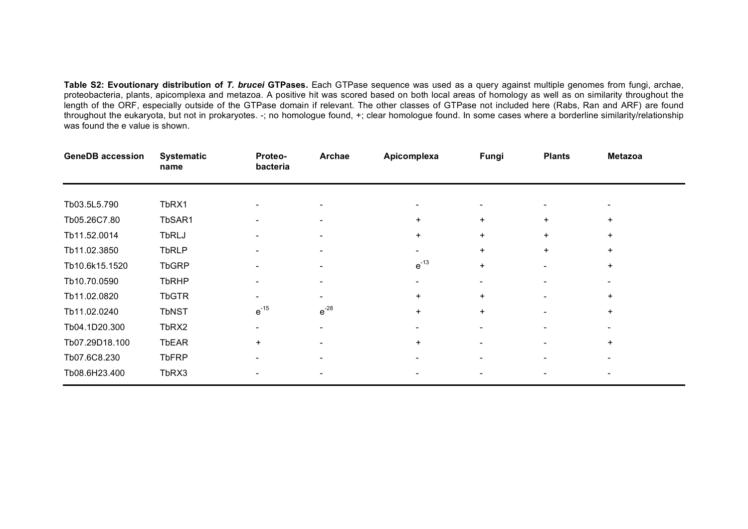**Table S2: Evoutionary distribution of** *T. brucei* **GTPases.** Each GTPase sequence was used as a query against multiple genomes from fungi, archae, proteobacteria, plants, apicomplexa and metazoa. A positive hit was scored based on both local areas of homology as well as on similarity throughout the length of the ORF, especially outside of the GTPase domain if relevant. The other classes of GTPase not included here (Rabs, Ran and ARF) are found throughout the eukaryota, but not in prokaryotes. -; no homologue found, +; clear homologue found. In some cases where a borderline similarity/relationship was found the e value is shown.

| <b>GeneDB accession</b> | <b>Systematic</b><br>name | Proteo-<br>bacteria      | Archae    | Apicomplexa              | Fungi                    | <b>Plants</b>            | <b>Metazoa</b> |  |
|-------------------------|---------------------------|--------------------------|-----------|--------------------------|--------------------------|--------------------------|----------------|--|
|                         |                           |                          |           |                          |                          |                          |                |  |
| Tb03.5L5.790            | TbRX1                     |                          |           |                          |                          |                          |                |  |
| Tb05.26C7.80            | TbSAR1                    |                          |           | $\ddot{}$                | $\ddot{}$                | $\ddot{}$                | $\ddot{}$      |  |
| Tb11.52.0014            | <b>TbRLJ</b>              |                          |           | $\ddot{}$                | $\ddot{}$                | $\ddot{}$                | $\ddot{}$      |  |
| Tb11.02.3850            | <b>TbRLP</b>              | $\overline{\phantom{a}}$ |           | -                        | $+$                      | $\ddot{}$                | $+$            |  |
| Tb10.6k15.1520          | <b>TbGRP</b>              |                          |           | $e^{-13}$                | $\ddot{}$                |                          | $\ddot{}$      |  |
| Tb10.70.0590            | <b>TbRHP</b>              | $\qquad \qquad$          |           | $\overline{\phantom{a}}$ | $\overline{\phantom{a}}$ | $\overline{\phantom{a}}$ |                |  |
| Tb11.02.0820            | <b>TbGTR</b>              |                          |           | $+$                      | $\ddot{}$                |                          | $\ddot{}$      |  |
| Tb11.02.0240            | <b>TbNST</b>              | $e^{-15}$                | $e^{-28}$ | $\ddot{}$                | $\ddot{}$                |                          | $+$            |  |
| Tb04.1D20.300           | TbRX2                     |                          |           |                          |                          |                          |                |  |
| Tb07.29D18.100          | <b>TbEAR</b>              | $\ddot{}$                |           | $+$                      |                          |                          | $+$            |  |
| Tb07.6C8.230            | <b>TbFRP</b>              |                          |           |                          |                          |                          |                |  |
| Tb08.6H23.400           | TbRX3                     |                          |           |                          |                          |                          |                |  |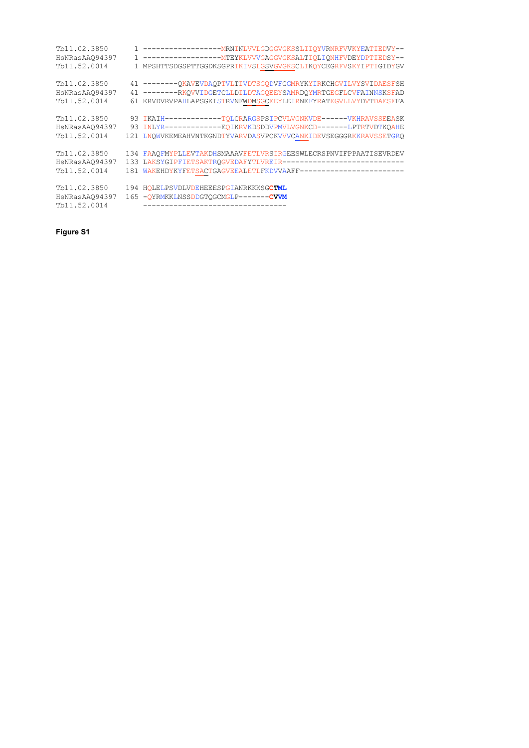| Tb11.02.3850<br>HsNRasAA094397<br>Tb11.52.0014 | 1 ----------------------- MRNINLVVLGDGGVGKSSLIIOYVRNRFVVKYEATIEDVY--<br>MPSHTTSDGSPTTGGDKSGPRIKIVSLGSVGVGKSCLIKOYCEGRFVSKYIPTIGIDYGV                                                                     |
|------------------------------------------------|----------------------------------------------------------------------------------------------------------------------------------------------------------------------------------------------------------|
| Tb11.02.3850<br>HsNRasAA094397<br>Tb11.52.0014 | 41 --------OKAVEVDAOPTVLTIVDTSGODVFGGMRYKYIRKCHGVILVYSVIDAESFSH<br>41 --------RKOVVIDGETCLLDILDTAGOEEYSAMRDOYMRTGEGFLCVFAINNSKSFAD<br>61 KRVDVRVPAHLAPSGKISTRVNFWDMSGCEEYLEIRNEFYRATEGVLLVYDVTDAESFFA    |
| Tb11.02.3850<br>HsNRasAA094397<br>Tb11.52.0014 | 93 IKAIH------------TQLCRARGSPSIPCVLVGNKVDE------VKHRAVSSEEASK<br>93 INLYR------------EQIKRVKDSDDVPMVLVGNKCD-------LPTRTVDTKOAHE<br>121 LNOWVKEMEAHVNTKGNDTYVARVDASVPCKVVVCANKIDEVSEGGGRKKRAVSSETGRO     |
| Tb11.02.3850<br>HsNRasAA094397<br>Tb11.52.0014 | 134 FAAOFMYPLLEVTAKDHSMAAAVFETLVRSIRGEESWLECRSPNVIFPPAATISEVRDEV<br>133 LAKSYGIPFIETSAKTROGVEDAFYTLVREIR-----------------------------<br>181 WAKEHDYKYFETSACTGAGVEEALETLFKDVVAAFF----------------------- |
| Tb11.02.3850<br>HsNRasAAQ94397<br>Tb11.52.0014 | 194 HOLELPSVDLVDEHEEESPGIANRKKKSGCTML<br>165 - OYRMKKLNSSDDGTOGCMGLP-------CVVM<br>________________________________                                                                                      |

**Figure S1**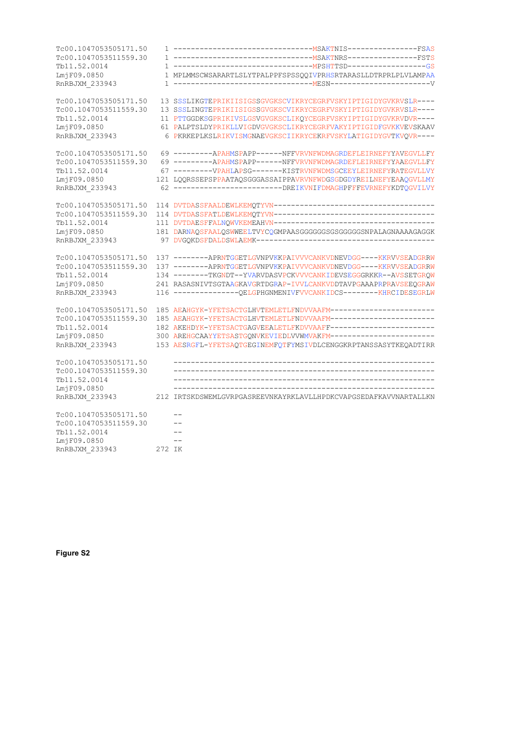| Tc00.1047053505171.50 |        |                                                                   |
|-----------------------|--------|-------------------------------------------------------------------|
| Tc00.1047053511559.30 |        |                                                                   |
| Tb11.52.0014          |        |                                                                   |
| LmiF09.0850           |        | 1 MPLMMSCWSARARTLSLYTPALPPFSPSSQQIVPRHSRTARASLLDTRPRLPLVLAMPAA    |
| RnRBJXM 233943        |        |                                                                   |
| Tc00.1047053505171.50 |        | 13 SSSLIKGTEPRIKIISIGSSGVGKSCVIKRYCEGRFVSKYIPTIGIDYGVKRVSLR----   |
| Tc00.1047053511559.30 |        | 13 SSSLINGTEPRIKIISIGSSGVGKSCVIKRYCEGRFVSKYIPTIGIDYGVKRVSLR----   |
| Tb11.52.0014          |        | 11 PTTGGDKSGPRIKIVSLGSVGVGKSCLIKOYCEGRFVSKYIPTIGIDYGVKRVDVR----   |
| LmiF09.0850           |        | 61 PALPTSLDYPRIKLLVIGDVGVGKSCLIKRYCEGRFVAKYIPTIGIDFGVKKVEVSKAAV   |
| RnRBJXM 233943        |        | 6 PKRKEPLKSLRIKVISMGNAEVGKSCIIKRYCEKRFVSKYLATIGIDYGVTKVQVR----    |
| Tc00.1047053505171.50 |        | 69 ---------APAHMSPAPP------NFFVRVNFWDMAGRDEFLEIRNEFYYAVEGVLLFY   |
| Tc00.1047053511559.30 |        | 69 --------- APAHMSPAPP------ NFFVRVNFWDMAGRDEFLEIRNEFYYAAEGVLLFY |
| Tb11.52.0014          |        | 67 ---------VPAHLAPSG-------KISTRVNFWDMSGCEEYLEIRNEFYRATEGVLLVY   |
| LmjF09.0850           |        | 121 LQQRSSEPSPPAATAQSGGGASSAIPPAVRVNFWDGSGDGDYREILNEFYEAAQGVLLMY  |
| RnRBJXM 233943        |        | 62 -------------------------DREIKVNIFDMAGHPFFFEVRNEFYKDTQGVILVY   |
| Tc00.1047053505171.50 |        |                                                                   |
| Tc00.1047053511559.30 |        |                                                                   |
| Tb11.52.0014          |        | 111 DVTDAESFFALNQWVKEMEAHVN-----------------------------------    |
| LmiF09.0850           |        | 181 DARNAQSFAALQSWWEELTVYCQGMPAASGGGGGGSGSGGGGSNPALAGNAAAAGAGGK   |
| RnRBJXM 233943        |        |                                                                   |
| Tc00.1047053505171.50 |        | 137 -------- APRNTGGETLGVNPVKKPAIVVVCANKVDNEVDGG----KKRVVSEADGRRW |
| Tc00.1047053511559.30 |        | 137 -------- APRNTGGETLGVNPVKKPAIVVVCANKVDNEVDGG----KKRVVSEADGRRW |
| Tb11.52.0014          |        | 134 --------TKGNDT--YVARVDASVPCKVVVCANKIDEVSEGGGRKKR--AVSSETGROW  |
| LmjF09.0850           |        | 241 RASASNIVTSGTAAGKAVGRTDGRAP-IVVLCANKVDDTAVPGAAAPRPRAVSEEQGRAW  |
| RnRBJXM 233943        |        | 116 ---------------QELGPHGNMENIVFVVCANKIDCS--------KHRCIDESEGRLW  |
| Tc00.1047053505171.50 |        | 185 AEAHGYK-YFETSACTGLHVTEMLETLFNDVVAAFM------------------------  |
| Tc00.1047053511559.30 |        | 185 AEAHGYK-YFETSACTGLHVTEMLETLFNDVVAAFM-----------------------   |
| Tb11.52.0014          |        | 182 AKEHDYK-YFETSACTGAGVEEALETLFKDVVAAFF------------------------  |
| LmjF09.0850           |        | 300 AREHGCAAYYETSASTGQNVKEVIEDLVVWMVAKFM------------------------  |
| RnRBJXM 233943        |        | 153 AESRGFL-YFETSAQTGEGINEMFQTFYMSIVDLCENGGKRPTANSSASYTKEQADTIRR  |
| Tc00.1047053505171.50 |        |                                                                   |
| Tc00.1047053511559.30 |        |                                                                   |
| Tb11.52.0014          |        |                                                                   |
| LmiF09.0850           |        | --------------------                                              |
| RnRBJXM 233943        |        | 212 IRTSKDSWEMLGVRPGASREEVNKAYRKLAVLLHPDKCVAPGSEDAFKAVVNARTALLKN  |
| Tc00.1047053505171.50 |        |                                                                   |
| Tc00.1047053511559.30 |        |                                                                   |
| Tb11.52.0014          |        |                                                                   |
| LmjF09.0850           |        | $-$                                                               |
| RnRBJXM 233943        | 272 IK |                                                                   |

**Figure S2**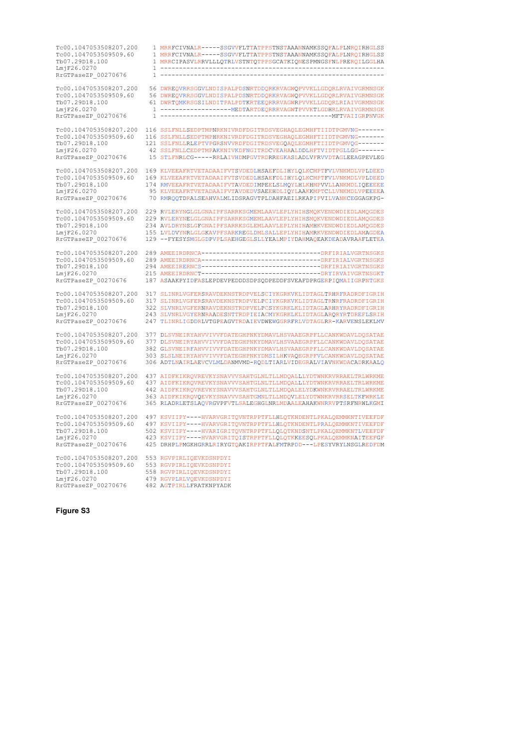Tc00.1047053508207.200 1 MRRFCIVNALR-----SSGVVFLTTATPPSTNSTAAANNAMKSSQFALPLNRQIRHGLSS<br>Tc00.1047053509509.60 1 MRRFCIVNALR-----SSGVVFLTTATPPSTNSTAAANNAMKSSQFALPLNRQIRHGLSS Tc00.1047053509509.60 1 MRRFCIVNALR-----SSGVVFLTTATPPSTNSTAAANNAMKSSQFALPLNRQIRHGLSS<br>Th07 29D18 100 1 MRRCIPASVLERVLLLOTRLVSTNTOTPPSCCATKIONESPMLSENLPREPOLLGGLHA 1 MRRCIPASVLRRVLLLQTRLVSTNTQTPPSGCATKIQNESPMNGSFNLPRERQILGGLHA LmjF26.0270 1 ------------------------------------------------------------  $RrGTPaseZP$  00270676 Tc00.1047053508207.200 56 DWREQVRRSGGVLNDISPALPDSNRTDDQRKRVAGWQPVVKLLGDQRLRVAIVGRMNSGK Tc00.1047053509509.60 56 DWREQVRRSGGVLNDISPALPDSNRTDDQRKRVAGWQPVVKLLGDQRLRVAIVGRMNSGK<br>Tb07.29D18.100 61 DWRTQMKRSGSILNDITPALPDTKRTEEQRRRVAGWRPVVKLLGDQRLRIAIVGRMNSGK LmjF26.0270 1 -------------------MEDTARTDEQRRRVAGWTPVVKTLGDHRLRVAIVGRMNSGK RrGTPaseZP\_00270676 1 ----------------------------------------------MFTVAIIGRPNVGK Tc00.1047053508207.200 116 SSLFNLLSEDPTMPNRKNIVRDFDGITRDSVEGHAQLEGMHFTIIDTPGMVNG--<br>Tc00.1047053509509.60 116 SSLFNLLSEDPTMPHRKNIVRDFDGITRDSVEGHAQLEGMHFTIIDTPGMVNG--Tc00.1047053509509.60 116 SSLFNLLSEDPTMPHRKNIVRDFDGITRDSVEGHAQLEGMHFTIIDTPGMVNG------- Tb07.29D18.100 121 SSLFNLLRLEPTVPGRSNVVRDFDGITRDSVEGQAQLEGMHFTIIDTPGMVQG------- LmjF26.0270 42 SSLFNLLCEDPTMPAKKNIVKDFNGITRDCVEAHAALDDLHFTVIDTPGLLGG------- 15 STLENRLCG-----RRLAIVHDMPGVTRDRREGKASLADLVFRVVDTAGLEEAGPEVLEG Tc00.1047053508207.200 169 KLVEEAFRTVETADAAIFVTSVDEDLHSAEFDLIHYLQLKCMPTFVLVNKMDLVPLDEED<br>Tc00.1047053509509.60 169 KLVEEAFRTVETADAAIFVTSVDEDLHSAEFDLIHYLQLKCMPTFVLVNKMDLVPLDEED<br>Tb07.29D18.100 174 RMVEEAFRTVETADAAIFVTAVDEDIMP Tc00.1047053509509.60 169 KLVEEAFRTVETADAAIFVTSVDEDLHSAEFDLIHYLQLKCMPTFVLVNKMDLVPLDEED Tb07.29D18.100 174 RMVEEAFRTVETADAAIFVTAVDEDIMPEELSLMQYLHLKHMPVVLLANKMDLIQEEEEE<br>
LmjF26.0270 95 KLVEEAFRTVETADAAIFVTAVDEDVSAEEHDLIOYLAAKKMPTCLLVNKMDLVPEEEEA  $\begin{minipage}{0.0270} \hbox{InjF26.0270} \hbox{0.0270676} \hbox{1.038} \hbox{1.048} \hbox{1.058} \hbox{1.078} \hbox{1.088} \hbox{1.078} \hbox{1.088} \hbox{1.088} \hbox{1.078} \hbox{1.088} \hbox{1.088} \hbox{1.088} \hbox{1.088} \hbox{1.088} \hbox{1.088} \hbox{1.088} \hbox{1.088} \hbox{1.0$ 70 RMROOTDRALSEAHVALMLIDSRAGVTPLDAHFAEILRKAPIPVILVANKCEGGAGKPG-Tc00.1047053508207.200 229 RVLERYNGLGLGNAIPFSARRKSGMEMLAAVLEPLYHIHSMQKVENDWDIEDLAMQGDES 229 RVLERYNELGLGNAIPFSARRKSGMEMLAAVLEPLYHIHSMOKVENDWDIEDLAMOGDES Tb07.29D18.100 234 AVLDRYNSLGFGNAIPFSARRKSGLEMLAAVLEPLYHIHAMHKVENDWDIEDLAMQGDES LmjF26.0270 155 LVLDVYNRLGLGKAVPFSARKREGLDMLSALLEPLYHIHAMRKVENDWDIEDLAMAGDEA<br>RrGTPaseZP 00270676 129 --FYESYSMGLGDPVPLSAEHGEGLSLLYEALMPIYDAHMAQEAKDEADAVRAAFLETEA RRGTPASSEZPORTPASSEZPORTPASEZPORTPASSEZPORTPASSEZPORTPASSEZPORTPASSEZPORTPASSEZPORTPASSEZPORTPASSEZPORTPASSEZPORTPASSEZPORTPASSEZPORTPASSEZPORTPASSEZPORTPASSEZPORTPASSEZPORTPASSEZPORTPASSEZPORTPASSEZPORTPASSEZPORTPASSEZPOR Tc00.1047053508207.200 289 AMEEIRDRNCA--------------------------------DRFIRIALVGRTNSGKS Tc00.1047053509509.60 289 AMEEIRDRNCA--------------------------------DRFIRIALVGRTNSGKS Tb07.29D18.100 294 AMEEIRERNCS--------------------------------DRFIRIAIVGRTNSGKS LmjF26.0270 215 AMEEIRDRNCT--------------------------------DRYIRVAIVGRTNSGKT 187 ASAAKPYIDFASLEPDEVPEDDDSDPSODPEDDESVEAFDPRGERPIOMAIIGRPNTGKS Tc00.1047053508207.200 317 SLINRLVGFERSRAVDEKNSTRDPVELSCIYKGRKVKLIDTAGLTRHRFRADRDFIGRIH Tc00.1047053509509.60 317 SLINRLVGFERSRAVDEKNSTRDPVELPCIYKGRKVKLIDTAGLTRNRFRADRDFIGRIH Tb07.29D18.100 322 SLVNRLVGFERNRAVDEKNSTRDPVELPCSYKGRKLKLIDTAGLARHRYRADRDFIGRIH LmjF26.0270 243 SLVNRLVGYERNRAADESNTTRDPIEIACMYKGRKLKLIDTAGLARQRYRTDREFLSRIH 247 TLINRLIGDDRLVTGPEAGVTRDAIEVDWEWGGRRFRLVDTAGLRR-KARVENSLEKLMV Tc00.1047053508207.200 377 DLSVNEIRYAHVVIVVFDATEGHPNKYDMAVLHSVAAEGRPFLLCANKWDAVLDQSATAE Tc00.1047053509509.60 377 DLSVNEIRYAHVVIVVFDATEGHPNKYDMAVLHSVAAEGRPFLLCANKWDAVLDQSATAE Tb07.29D18.100 382 GLSVNEIRFAHVVIVVFDATEGHPNKYDMAVLHSVAAEGRPFLLCANKWDAVLDQSATAE LmjF26.0270 303 SLSLNEIRYAHVVIVVFDATEGHPNKYDMSILHKVAQEGRPFVLCANKWDAVLDQSATAE 306 ADTLNAIRLAEVCVLMLDANMVMD-RODLTIARLVIDEGRALVIAVNKWDACADRKAALC Tc00.1047053508207.200 437 AIDFKIKRQVREVKYSNAVVVSAHTGLNLTLLMDQALLLYDTWNKRVRRAELTRLWRKME Tc00.1047053509509.60 437 AIDFKIKRQVREVKYSNAVVVSAHTGLNLTLLMDQALLLYDTWNKRVRRAELTRLWRKME Tb07.29D18.100 442 AIDFKIKRQVREVKYSNAVVVSAHTGLNLTLLMDQALELYDKWNKRVRRAELTRLWRKME LmjF26.0270 363 AIDFKIKRQVQEVKYSNAVVVSAHTGMNLTLLMDQVLELYDTWNKRVRRSELTKFWRKLE<br>RrGTPaseZP 00270676 365 RLADRLETSLAQVRGVPFVTLSALEGHGLNRLMDAALEAHAKWNRRVPTSRFNRWLKGMI 365 RLADRLETSLAQVRGVPFVTLSALEGHGLNRLMDAALEAHAKWNRRVPTSRFNRWLKGMI Tc00.1047053508207.200 497 KSVIIPY----HVARVGRITQVNTRPPTFLLHLQTKNDENTLPKALQEMMKNTIVEEFDF<br>Tc00.1047053509509.60 497 KSVIIPY----HVARVGRITQVNTRPPTFLLHLQTKNDENTLPRALQEMMKNTIVEEFDF Tc00.1047053509509.60 497 KSVIIPY----HVARVGRITQVNTRPPTFLLHLQTKNDENTLPRALQEMMKNTIVEEFDF Tb07.29D18.100 502 KSVIIPY----HVARIGRITQVNTRPPTFLLQLQTKNDSNTLPKALQEMMKNTLVEEFDF LmjF26.0270 423 KSVIIPY----HVARVGRITQISTRPPTFLLQLQTKKEESQLPKALQEMMKNAITEEFGF RRGTPASEZP\_002707002707676 2702707076 271027076 271027076 271027076 271027076 271027076 271027076 271027076 27 Tc00.1047053508207.200 553 RGVPIRLIQEVKDSNPDYI Tc00.1047053509509.60 553 RGVPIRLIQEVKDSNPDYI Tb07.29D18.100 558 RGVPIRLIQEVKDSNPDYI<br>LmjF26.0270 479 RGVPLRLVQEVKDSNPDYI 479 RGVPLRLVQEVKDSNPDYI<br>482 AGTPIRLLFRATKNPYADK

**Figure S3**

RrGTPaseZP 00270676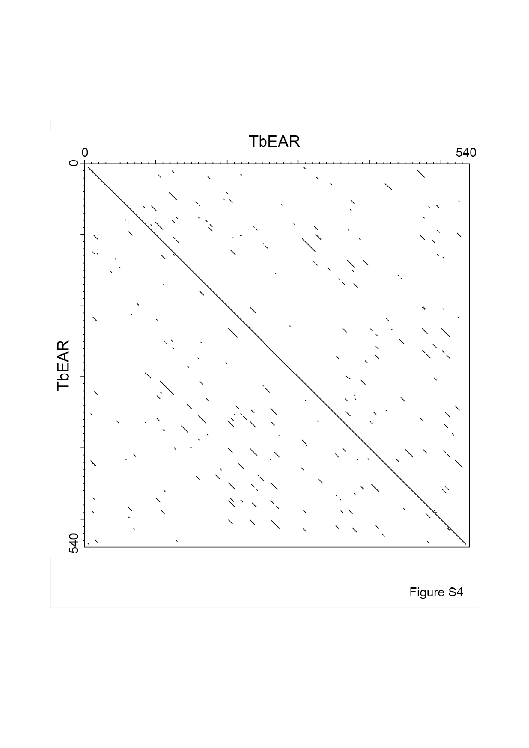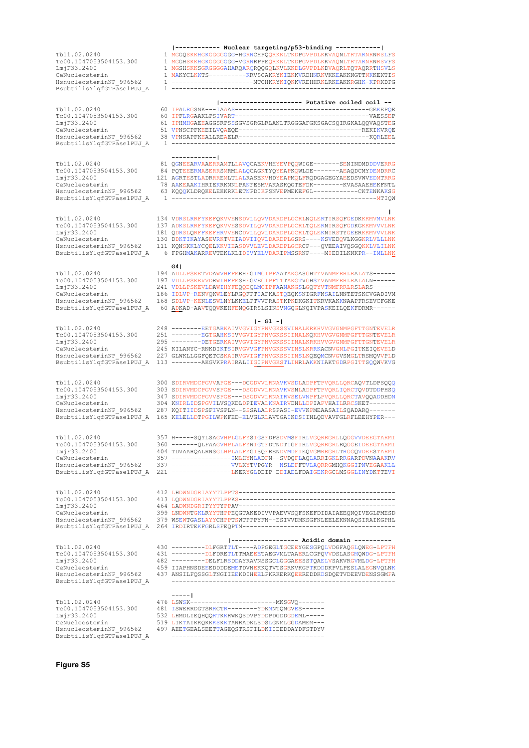Tb11.02.0240 81<br>Tc00.1047053504153.300 84 Tc00.1047053504153.300 84<br>TmiF33.2400 121 CeNucleostemin 78<br>
HanucleosteminNP 996562 63 HsnucleosteminNP 996562 BsubtilisYlqfGTPase1PUJ\_A 1

LmjF33.2400 464 LADWNDGRIPYYTYPPAV------------------------------------------

BsubtilisYlqfGTPase1PUJ\_A

CeNucleostemin 399 LNDWNTGKLRYYTHPPEQGTAKEDIVVPAEVVSQFSKEFDIDAIAEEQNQIVEGLPMESD<br>HsnucleosteminNP 996562 379 WSEWTGASLAYYCHPPTSWTPPPYFN--ESIVVDMKSGFNLEELEKNNAQSIRAIKGPHL BsubtilisYlqfGTPase1PUJ\_A 264 IRDIRTEKFGRLSFEQPTM--------------------------**|------------------ Acidic domain ----------** Tb11.02.0240 430 ---------DLFGRTTLT----ADPGEGLTGCEEYGESGPQLVDGFAQGLQWEG-LPTFH Tc00.1047053504153.300 431 --------DLFDRETLTTMAEEETAEGVMLTAAERLCGPQVVDSLASGMQWDG-LPTFH<br>TmjF33.2400 482 --------DELFLRSDDAYRAVNSSGCLGGGAEESSTQAELVSAKVRGVMLDG-LPTFH LmjF33.2400 482 ---------DELFLRSDDAYRAVNSSGCLGGGAEESSTQAELVSAKVRGVMLDG-LPTFH CeNucleostemin 459 IIAPHNSDEEEDDDDEMETDVNEKKQTVTSGRKVKGPTKDDDKPVLPESLALEGNVQLNK<br>HsnucleosteminNP 996562 437 ANSILFOSSGLTNGIIEEKDIHEELPKRKERKOEEREDDKDSDOETVDEEVDENSSGMFA 437 ANSILFOSSGLTNGIIEEKDIHEELPKRKERKOEEREDDKDSDOETVDEEVDENSSGMFA

**-----|** Tb11.02.0240 476 LSWSK-----------------------MKSGVQ------- Tc00.1047053504153.300 481 ISWERRDGTSRRCTR--------YDKMNTQNGVES------<br>
LmjF33.2400 532 LHMDLIEQHQQRTKKRWKQSDVPYDDPDGDDGDEML----LmjF33.2400 532 LHMDLIEQHQQRTKKRWKQSDVPYDDPDGDDGDEML-----<br>
CeNucleostemin 519 LIKTAIKKOKKKSKKTANRADKLSDSLGNMLGGDAMEM---CeNucleostemin 519 LIKTAIKKQKKKSKKTANRADKLSDSLGNMLGGDAMEM---<br>HsnucleosteminNP 996562 497 AEETGEALSEETTAGEOSTRSFILDKIIEEDDAYDESTDYV 497 AEETGEALSEETTAGEOSTRSFILDKIIEEDDAYDFSTDYV BsubtilisYlqfGTPase1PUJ\_A

**Figure S5**

**|------------ Nuclear targeting/p53-binding ------------|** Tb11.02.0240 1 MGGQSKKHGKGGGGGGG-HGRNCHPQQRKKLTKDPGVPDLKKVAQNLTRTARNRNRSLFS Tc00.1047053504153.300 1 MGGHSKKHGKGGGGGGG-VGRNRPPEQRKKLTKDPGVPDLKKVAQNLTRTARNRNRSVFS LmjF33.2400 1 MGSHSKKSGRGGGGAHARQARQRQQGQLKVLKKDLGVPDLKDVAQRLTQTAQRRTHSVLS<br>CeNucleostemin 1 MAKYCLKKTS----------RRVSCAKRYKIEKKVRDHNRKVKKEAKKNGTTNKKEKTIS<br>HsnucleosteminNP\_996562 1 --------------------BsubtilisYlqfGTPase1PUJ\_A 1 ------------------------------------------------------------

**|---------------------- Putative coiled coil --**

| Tb11.02.0240              |                                                                 |
|---------------------------|-----------------------------------------------------------------|
| Tc00.1047053504153.300    |                                                                 |
| LmiF33.2400               | 61 IPHMHGAEEAGGSRPSSSGVSGRGLRLANLTRGGGAFGKSGACSOIRGKALOOVAOSTEG |
| CeNucleostemin            | 51 VPNSCPFKEEILVOAEOE---------------------------------REKIKVROE |
| HsnucleosteminNP 996562   |                                                                 |
| BsubtilisYlqfGTPase1PUJ A |                                                                 |

#### **------------|**

| Tb11.02.0240              | 81 OGNEEARVAAERRAMTLLAVOCAEKVHHYEVPOOWIGE-------SENINDMDDDVERRG  |
|---------------------------|------------------------------------------------------------------|
| Tc00.1047053504153.300    | 84 POTEEERMASERRSMRMLALOCAGKTYOYEAPKOWLDE-------AEAODCMYDEMDRRC  |
| LmiF33.2400               | 121 AGRTESTLADRRREMLTLALRASEKVHDYEAPMOLFRODGAGEGYAEEDSVWVEDMTRRG |
| CeNucleostemin            | 78 AAKEAAKIHRIEKRKNNLPANFESMVAKASKOGTEFDK--------KVASAAEHEKFNTL  |
| HsnucleosteminNP 996562   | 63 KOOOKLDROKELEKKRKLETNPDIKPSNVEPMEKEFGL-----------CKTENKAKSG   |
| BsubtilisYlqfGTPase1PUJ A |                                                                  |

**|** Tb11.02.0240 134 VDRSLRRFYKEFQKVVENSDVLLQVVDARDPLGCRLNQLERTIRSQFGEDKKKMVMVLNK Tc00.1047053504153.300 137 ADKSLRRFYKEFQKVVESSDVILQVVDARDPLGCRLTQLERNIRSQFGDKGKKMVVVLNK LmjF33.2400 181 QDRSLQRFFKEFHRVVENCDVLLQVLDARDPLGCRLTQLEKNIRSTYGEERKKMVVVLNK CeNucleostemin 130 DDKTIKAYASEVRKTVEIADVIIQVLDARDPLGSRS----KSVEDQVLKGGKRLVLLLNK<br>HsnucleosteminNP 996562 111 KQNSKKLYCQELKKVIEASDVVLEVLDARDPLGCRCP--QVEEAIVQSGQKKLVLILNK HsnucleosteminNP\_996562 111 KQNSKKLYCQELKKVIEASDVVLEVLDARDPLGCRCP---QVEEAIVQSGQKKLVLILNK BsubtilisYlqfGTPase1PUJ\_A 6 FPGHMAKARREVTEKLKLIDIVYELVDARIPMSSRNP----MIEDILKNKPR--IMLLNK

#### **G4|**

 $\begin{minipage}{0.5cm} \begin{minipage}{0.5cm} \begin{minipage}{0.5cm} \begin{minipage}{0.5cm} \begin{minipage}{0.5cm} \begin{minipage}{0.5cm} \begin{minipage}{0.5cm} \begin{minipage}{0.5cm} \begin{minipage}{0.5cm} \begin{minipage}{0.5cm} \begin{minipage}{0.5cm} \end{minipage}} \end{minipage} \end{minipage} \end{minipage} \end{minipage} \end{minipage} \begin{minipage}{0.5cm} \begin{minipage}{0.5cm} \begin{minipage}{0.5cm} \begin{minipage}{0.5$ Tc00.1047053504153.300 197 VDLLPSKEVVDRWIHFFESHEGVECIPFTTTAKGTVGHSYVANMFRRLRALALN------ LmjF33.2400 241 VDLLPSKEVLDAWIHYFEQQEQLMCIPFAANAKGSLGQTYVTNMFRRLRSLARS------ CeNucleostemin 186 IDLVP-RENVQKWLEYLRGQFPTIAFKASTQEQKSNIGRFNSAILNNTETSKCVGADIVM<br>HsnucleosteminNP 996562 168 SDLVP-KENLESWLNYLKKELPTVVFRASTKPKDKGKITKRVKAKKNAAPFRSEVCFGKE HsnucleosteminNP\_996562 168 SDLVP-KENLESWLNYLKKELPTVVFRASTKPKDKGKITKRVKAKKNAAPFRSEVCFGKE<br>BsubtilisYlqfGTPase1PUJ A 60 ADKAD-AAVTOOWKEHFENOGIRSLSINSVNGOGLNOIVPASKEILOEKFDRMR------60 ADKAD-AAVTQQWKEHFENQGIRSLSINSVNGQGLNQIVPASKEILQEKFDRMR------

**|- G1 -|**

| Tb11.02.0240<br>Tc00.1047053504153.300<br>LmiF33.2400<br>CeNucleostemin<br>HsnucleosteminNP 996562<br>BsubtilisYlqfGTPase1PUJ A | 248 -------EETGARKAIVVGVIGYPNVGKSSVINALKRKHVVGVGNMPGFTTGNTEVELR<br>251 --------EGTGAHKSIVVGVIGYPNVGKSSIINALKQKHVVGVGNMPGFTTGNTEVELR<br>295 --------DETGERKAIVVGVIGYPNVGKSSIINALKRKHVVGVGNMPGFTTGNTEVELR<br>245 KILANYC-RNKDIKTSIRVGVVGFPNVGKSSVINSLKRRKACNVGNLPGITKEIQEVELD<br>227 GLWKLLGGFOETCSKAIRVGVIGFPNVGKSSIINSLKOEOMCNVGVSMGLTRSMOVVPLD<br>113 -------- AKGVKPRAIRALIIGIPNVGKSTLINRLAKKNIAKTGDRPGITTSOOWVKVG |
|---------------------------------------------------------------------------------------------------------------------------------|----------------------------------------------------------------------------------------------------------------------------------------------------------------------------------------------------------------------------------------------------------------------------------------------------------------------------------------------------------------------------------------------------------------------|
| Tb11.02.0240<br>Tc00.1047053504153.300<br>LmiF33.2400<br>CeNucleostemin<br>HsnucleosteminNP 996562<br>BsubtilisYlqfGTPase1PUJ A | 300 SDIRVMDCPGVVAPGE---DCGDVVLRNAVKVSDLADPFTPVORLLORCAOVTLDPSOOO<br>303 SDIRVMDCPGVVSPGE---DSGDVVLRNAVKVSNLADPFTPVORLIORCTOVDTDDPHSO<br>347 SDIRVMDCPGVVSPGE---DSGDVVLRNAIRVSELVNPFLPVORLLORCTAVOOADDHDN<br>304 KNIRLIDSPGVILVSQKDLDPIEVALKNAIRVDNLLDPIAPVHAILRRCSKET-------<br>287 KOITIIDSPSFIVSPLN--SSSALALRSPASI-EVVKPMEAASAILSOADARO-------<br>165 KELELLDTPGILWPKFED-ELVGLRLAVTGAIKDSIINLODVAVFGLRFLEEHYPER--- |
| Tb11.02.0240<br>Tc00.1047053504153.300<br>LmjF33.2400<br>CeNucleostemin<br>HsnucleosteminNP 996562<br>BsubtilisYlqfGTPase1PUJ A | 357 H-----SQYLSAGVHPLGLFYSIGSFDPSDVMSFIRLVGQRRGRLLQGGVVDEEGTARMI<br>360 ------- OLFAAGVHPLALFYNIGTFDTNDTIGFIRLVGORRGRLROGGEIDEEGTARMI<br>404 TDVAAHOALRNSGLHPLALFYGISOFRENDVMDFIEOVGMRRGRLTRGGOVDEESTARMI<br>337 ----------------VVLKYTVPGYR--NSLEFFTVLAORRGMHOKGGIPNVEGAAKLL<br>221 ---------------LKERYGLDEIP-EDIAELFDAIGEKRGCLMSGGLINYDKTTEVI                                                                     |
| Tb11.02.0240<br>Tc00.1047053504153.300<br>LmiF33.2400                                                                           |                                                                                                                                                                                                                                                                                                                                                                                                                      |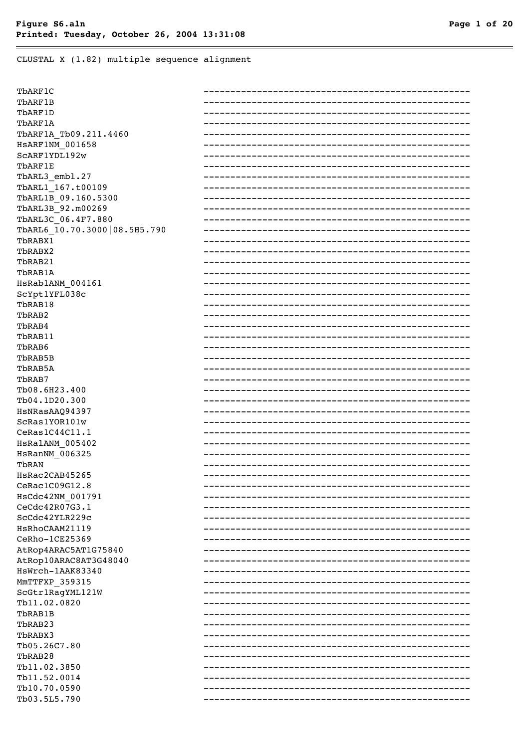CLUSTAL X (1.82) multiple sequence alignment

| TbARF1C                        |  |
|--------------------------------|--|
| TbARF1B                        |  |
| TbARF1D                        |  |
| TbARF1A                        |  |
| TbARF1A_Tb09.211.4460          |  |
| HSARF1NM 001658                |  |
| SCARF1YDL192w                  |  |
| TbARF1E                        |  |
| TbARL3 embl.27                 |  |
| TbARL1 167.t00109              |  |
| TbARL1B 09.160.5300            |  |
| TbARL3B 92.m00269              |  |
| TbARL3C 06.4F7.880             |  |
| TbARL6 10.70.3000 08.5H5.790   |  |
| TbRABX1                        |  |
| TbRABX2                        |  |
| TbRAB21                        |  |
| TbRAB1A                        |  |
| HsRab1ANM 004161               |  |
|                                |  |
| ScYpt1YFL038c<br>TbRAB18       |  |
|                                |  |
| TbRAB2                         |  |
| TbRAB4                         |  |
| TbRAB11                        |  |
| TbRAB6                         |  |
| TbRAB5B                        |  |
| TbRAB5A                        |  |
| TbRAB7                         |  |
| Tb08.6H23.400                  |  |
| Tb04.1D20.300                  |  |
| HsNRasAAQ94397                 |  |
| ScRas1YOR101w                  |  |
| $\mathtt{Cekas1C44C11.1}$      |  |
| HsRalANM 005402                |  |
| HsRanNM_006325                 |  |
| TbRAN                          |  |
| HsRac2CAB45265                 |  |
| ${\tt Cekac1C09G12.8}$         |  |
| HsCdc42NM 001791               |  |
| ${\tt CeCdc42R07G3.1}$         |  |
| ScCdc42YLR229c                 |  |
| <b>HsRhoCAAM21119</b>          |  |
| CeRho-1CE25369                 |  |
| AtRop4ARAC5AT1G75840           |  |
| AtRop10ARAC8AT3G48040          |  |
| HsWrch-1AAK83340               |  |
| MmTTFXP_359315                 |  |
| ScGtr1RagYML121W               |  |
| Tb11 <b>.</b> 02 <b>.</b> 0820 |  |
| TbRAB1B                        |  |
| TbRAB23                        |  |
| TbRABX3                        |  |
| Tb05.26C7.80                   |  |
| TbRAB28                        |  |
|                                |  |
| Tb11 <b>.</b> 02 <b>.</b> 3850 |  |
| Tb11.52.0014                   |  |
| Tb10.70.0590                   |  |
| Tb03.5L5.790                   |  |
|                                |  |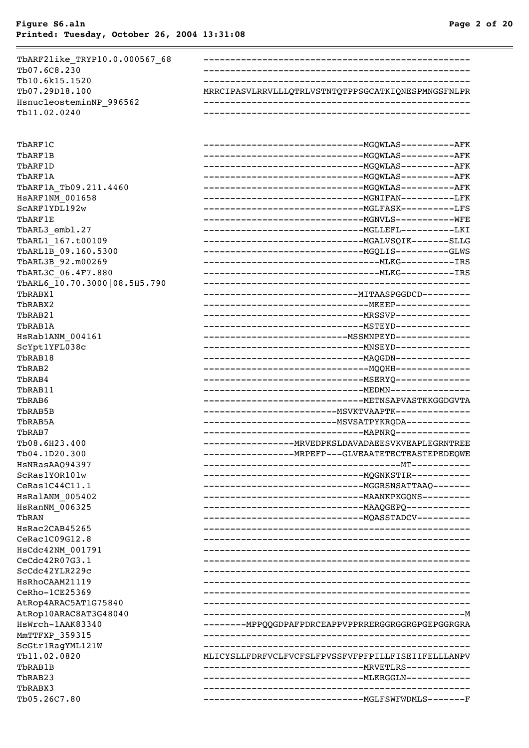| TbARF2like TRYP10.0.000567 68           |                                                         |
|-----------------------------------------|---------------------------------------------------------|
| Tb07.6C8.230                            |                                                         |
| Tb10.6k15.1520                          |                                                         |
| Tb07.29D18.100                          | MRRCIPASVLRRVLLLQTRLVSTNTQTPPSGCATKIQNESPMNGSFNLPR      |
| HsnucleosteminNP 996562                 |                                                         |
| Tb11.02.0240                            |                                                         |
|                                         |                                                         |
| TbARF1C                                 |                                                         |
| TbARF1B                                 |                                                         |
| TbARF1D                                 |                                                         |
| TbARF1A                                 |                                                         |
| TbARF1A Tb09.211.4460                   |                                                         |
| <b>HSARF1NM 001658</b><br>SCARF1YDL192w |                                                         |
| TbARF1E                                 |                                                         |
| TbARL3 embl.27                          |                                                         |
| TbARL1 167.t00109                       |                                                         |
| TbARL1B_09.160.5300                     |                                                         |
| TbARL3B_92.m00269                       |                                                         |
| TbARL3C_06.4F7.880                      |                                                         |
| TbARL6 10.70.3000 08.5H5.790            |                                                         |
| TbRABX1                                 |                                                         |
| TbRABX2                                 |                                                         |
| TbRAB21                                 |                                                         |
| TbRAB1A                                 |                                                         |
| HsRab1ANM 004161                        |                                                         |
| ScYpt1YFL038c                           |                                                         |
| TbRAB18                                 |                                                         |
| TbRAB2                                  |                                                         |
| TbRAB4                                  |                                                         |
| TbRAB11                                 |                                                         |
| TbRAB6                                  | ---------------------------------- METNSAPVASTKKGGDGVTA |
| TbRAB5B                                 |                                                         |
| TbRAB5A                                 |                                                         |
| TbRAB7                                  |                                                         |
| Tb08.6H23.400                           | ------------------- MRVEDPKSLDAVADAEESVKVEAPLEGRNTREE   |
| Tb04.1D20.300<br><b>HsNRasAAQ94397</b>  | ----------MRPEFP---GLVEAATETECTEASTEPEDEQWE             |
| ScRas1YOR101w                           |                                                         |
| Cekas1C44C11.1                          |                                                         |
| HSRalANM 005402                         |                                                         |
| HsRanNM 006325                          |                                                         |
| TbRAN                                   |                                                         |
| HsRac2CAB45265                          |                                                         |
| Cekac1C09G12.8                          |                                                         |
| HsCdc42NM 001791                        |                                                         |
| CeCdc42R07G3.1                          |                                                         |
| ScCdc42YLR229c                          |                                                         |
| <b>HsRhoCAAM21119</b>                   |                                                         |
| CeRho-1CE25369                          |                                                         |
| AtRop4ARAC5AT1G75840                    |                                                         |
| AtRop10ARAC8AT3G48040                   |                                                         |
| HsWrch-1AAK83340                        | --------MPPQQGDPAFPDRCEAPPVPPRRERGGRGGRGPGEPGGRGRA      |
| MmTTFXP 359315                          |                                                         |
| ScGtr1RagYML121W                        |                                                         |
| Tb11.02.0820<br>TbRAB1B                 | MLICYSLLFDRFVCLFVCFSLFPVSSFVFPFPILLFISEIIFELLLANPV      |
| TbRAB23                                 |                                                         |
| TbRABX3                                 |                                                         |
| Tb05.26C7.80                            |                                                         |
|                                         |                                                         |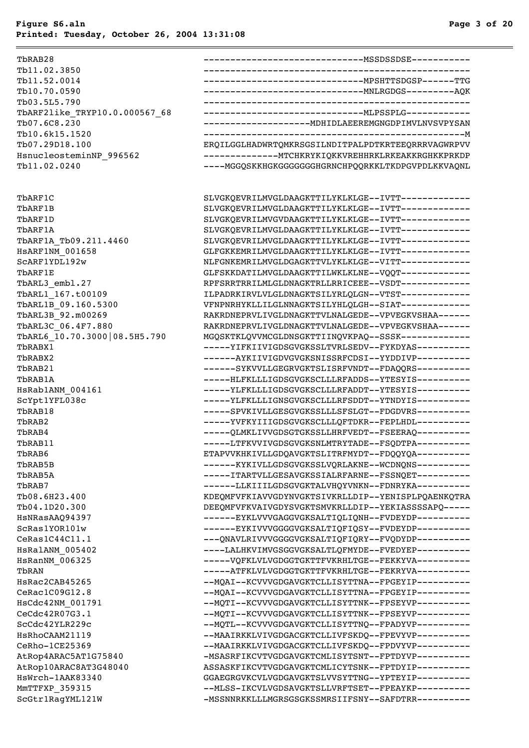TbRAB28 ------------------------------MSSDSSDSE----------- Tb11.02.3850 -------------------------------------------------- Tb11.52.0014 ------------------------------MPSHTTSDGSP------TTG Tb10.70.0590 ------------------------------MNLRGDGS---------AQK Tb03.5L5.790 -------------------------------------------------- TbARF2like\_TRYP10.0.000567\_68 ------------------------------MLPSSPLG------------ Tb07.6C8.230 --------------------MDHIDLAEEREMGNGDPIMVLNVSVPYSAN Tb10.6k15.1520 -------------------------------------------------M Tb07.29D18.100 ERQILGGLHADWRTQMKRSGSILNDITPALPDTKRTEEQRRRVAGWRPVV HsnucleosteminNP\_996562 --------------MTCHKRYKIQKKVREHHRKLRKEAKKRGHKKPRKDP Tb11.02.0240 -----MGGQSKKHGKGGGGGGGHGRNCHPQQRKKLTKDPGVPDLKKVAQNL TbARF1C SLVGKQEVRILMVGLDAAGKTTILYKLKLGE--IVTT------------- TbARF1B SLVGKQEVRILMVGLDAAGKTTILYKLKLGE--IVTT------------- TbARF1D SLVGKQEVRILMVGVDAAGKTTILYKLKLGE--IVTT------------TbARF1A SLVGKQEVRILMVGLDAAGKTTILYKLKLGE--IVTT------------- TbARF1A\_Tb09.211.4460 SLVGKQEVRILMVGLDAAGKTTILYKLKLGE--IVTT------------HSARF1NM\_001658 GLFGKKEMRILMVGLDAAGKTTILYKLKLGE--IVTT------------SCARF1YDL192w NLFGNKEMRILMVGLDGAGKTTVLYKLKLGE--VITT-------------TbARF1E GLFSKKDATILMVGLDAAGKTTILWKLKLNE--VOOT------------TbARL3\_embl.27 RPFSRRTRRILMLGLDNAGKTRLLRRICEEE--VSDT-------------TbARL1\_167.t00109 ILPADRKIRVLVLGLDNAGKTSILYRLQLGN--VTST------------- TbARL1B 09.160.5300 VFNPNRHYKLLILGLNNAGKTSILYHLQLGH--SIAT------------TbARL3B 92.m00269 RAKRDNEPRVLIVGLDNAGKTTVLNALGEDE--VPVEGKVSHAA------TbARL3C 06.4F7.880 RAKRDNEPRVLIVGLDNAGKTTVLNALGEDE--VPVEGKVSHAA------TbARL6\_10.70.3000|08.5H5.790 MGQSKTKLQVVMCGLDNSGKTTIINQVKPAQ--SSSK------------- TbRABX1 -----YIFKIIVIGDSGVGKSSLTVRLSEDV--FYKDYAS---------- TbRABX2 ------AYKIIVIGDVGVGKSNISSRFCDSI--YYDDIVP---------- TbRAB21 ------SYKVVLLGEGRVGKTSLISRFVNDT--FDAOORS----------TbRAB1A -----HLFKLLLIGDSGVGKSCLLLRFADDS--YTESYIS---------- HsRab1ANM\_004161 -----YLFKLLLIGDSGVGKSCLLLRFADDT--YTESYIS---------- ScYpt1YFL038c -----YLFKLLLIGNSGVGKSCLLLRFSDDT--YTNDYIS---------- TbRAB18 -----SPVKIVLLGESGVGKSSLLLSFSLGT--FDGDVRS---------- TbRAB2 ------YVFKYIIIGDSGVGKSCLLLQFTDKR--FEPLHDL----------TbRAB4 ------QLMKLIVVGDSGTGKSSLLHRFVEDT--FSEERAQ----------TbRAB11 -----LTFKVVIVGDSGVGKSNLMTRYTADE--FSQDTPA---------- TbRAB6 ETAPVVKHKIVLLGDQAVGKTSLITRFMYDT--FDQQYQA---------- TbRAB5B ------KYKIVLLGDSGVGKSSLVQRLAKNE--WCDNQNS---------- TbRAB5A -----ITARTVLLGESAVGKSSIALRFARNE--FSSNQET---------- TbRAB7 ------LLKIIILGDSGVGKTALVHQYVNKN--FDNRYKA---------- Tb08.6H23.400 KDEQMFVFKIAVVGDYNVGKTSIVKRLLDIP--YENISPLPQAENKQTRA Tb04.1D20.300 DEEQMFVFKVAIVGDYSVGKTSMVKRLLDIP--YEKIASSSSAPQ----- HsNRasAAQ94397 ------EYKLVVVGAGGVGKSALTIQLIQNH--FVDEYDP---------- ScRas1YOR101w ------EYKIVVVGGGGVGKSALTIQFIQSY--FVDEYDP----------CeRas1C44C11.1 ---QNAVLRIVVVGGGGVGKSALTIQFIQRY--FVQDYDP----------HsRalANM\_005402 ----LALHKVIMVGSGGVGKSALTLQFMYDE--FVEDYEP---------- HsRanNM\_006325 -----VQFKLVLVGDGGTGKTTFVKRHLTGE--FEKKYVA---------- TbRAN -----ATFKLVLVGDGGTGKTTFVKRHLTGE--FEKRYVA---------- HsRac2CAB45265 -- MQAI--KCVVVGDGAVGKTCLLISYTTNA--FPGEYIP----------CeRac1C09G12.8 --MQAI--KCVVVGDGAVGKTCLLISYTTNA--FPGEYIP----------HSCdc42NM\_001791 --MQTI--KCVVVGDGAVGKTCLLISYTTNK--FPSEYVP----------CeCdc42R07G3.1 --MQTI--KCVVVGDGAVGKTCLLISYTTNK--FPSEYVP----------ScCdc42YLR229c --MQTL--KCVVVGDGAVGKTCLLISYTTNQ--FPADYVP---------- HSRhoCAAM21119 --MAAIRKKLVIVGDGACGKTCLLIVFSKDQ--FPEVYVP----------CeRho-1CE25369 --MAAIRKKLVIVGDGACGKTCLLIVFSKDQ--FPDVYVP----------AtRop4ARAC5AT1G75840 - MSASRFIKCVTVGDGAVGKTCMLISYTSNT--FPTDYVP----------AtRop10ARAC8AT3G48040 ASSASKFIKCVTVGDGAVGKTCMLICYTSNK--FPTDYIP---------- HsWrch-1AAK83340 GGAEGRGVKCVLVGDGAVGKTSLVVSYTTNG--YPTEYIP---------- MmTTFXP\_359315 --MLSS-IKCVLVGDSAVGKTSLLVRFTSET--FPEAYKP----------ScGtr1RagYML121W -MSSNNRKKLLLMGRSGSGKSSMRSIIFSNY--SAFDTRR----------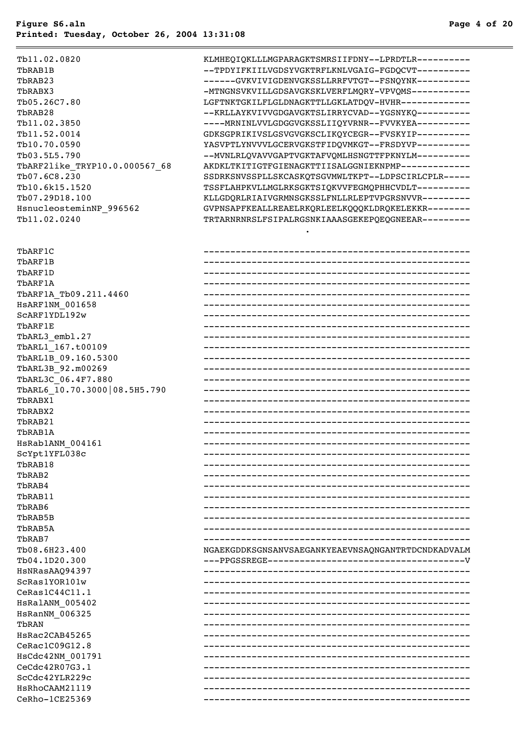#### Tb11.02.0820 KLMHEQIQKLLLMGPARAGKTSMRSIIFDNY--LPRDTLR---------- TbRAB1B --TPDYIFKIILVGDSYVGKTRFLKNLVGAIG-FGDQCVT---------- TbRAB23 ------GVKVIVIGDENVGKSSLLRRFVTGT--FSNQYNK----------TbRABX3 -MTNGNSVKVILLGDSAVGKSKLVERFLMQRY-VPVQMS----------- Tb05.26C7.80 LGFTNKTGKILFLGLDNAGKTTLLGKLATDQV-HVHR------------- TbRAB28 --KRLLAYKVIVVGDGAVGKTSLIRRYCVAD--YGSNYKQ---------- Tb11.02.3850 ----MRNINLVVLGDGGVGKSSLIIQYVRNR--FVVKYEA---------- Tb11.52.0014 GDKSGPRIKIVSLGSVGVGKSCLIKQYCEGR--FVSKYIP---------- Tb10.70.0590 YASVPTLYNVVVLGCERVGKSTFIDQVMKGT--FRSDYVP---------- Tb03.5L5.790 --MVNLRLOVAVVGAPTVGKTAFVOMLHSNGTTFPKNYLM----------TbARF2like TRYP10.0.000567 68 AKDKLTKITIGTFGIENAGKTTIISALGGNIEKNPMP-------------Tb07.6C8.230 SSDRKSNVSSPLLSKCASKQTSGVMWLTKPT--LDPSCIRLCPLR----- Tb10.6k15.1520 TSSFLAHPKVLLMGLRKSGKTSIQKVVFEGMQPHHCVDLT---------- Tb07.29D18.100 KLLGDQRLRIAIVGRMNSGKSSLFNLLRLEPTVPGRSNVVR--------- HsnucleosteminNP\_996562 GVPNSAPFKEALLREAELRKQRLEELKQQQKLDRQKELEKKR--------Tb11.02.0240 TRTARNRNRSLFSIPALRGSNKIAAASGEKEPQEQGNEEAR---------

.

| TbARF1C                      |                                                    |
|------------------------------|----------------------------------------------------|
| TbARF1B                      |                                                    |
| TbARF1D                      |                                                    |
| TbARF1A                      |                                                    |
| TbARF1A Tb09.211.4460        |                                                    |
| <b>HSARF1NM 001658</b>       |                                                    |
| SCARF1YDL192w                |                                                    |
| TbARF1E                      |                                                    |
| TbARL3 embl.27               |                                                    |
| TbARL1_167.t00109            |                                                    |
| TbARL1B 09.160.5300          |                                                    |
| TbARL3B 92.m00269            |                                                    |
| TbARL3C 06.4F7.880           |                                                    |
| TbARL6_10.70.3000 08.5H5.790 |                                                    |
| TbRABX1                      |                                                    |
| TbRABX2                      |                                                    |
| TbRAB21                      |                                                    |
| TbRAB1A                      |                                                    |
| HsRab1ANM 004161             |                                                    |
| ScYpt1YFL038c                |                                                    |
| TbRAB18                      |                                                    |
| TbRAB2                       |                                                    |
| TbRAB4                       |                                                    |
| TbRAB11                      |                                                    |
| TbRAB6                       |                                                    |
| TbRAB5B                      |                                                    |
| TbRAB5A                      |                                                    |
| TbRAB7                       |                                                    |
| Tb08.6H23.400                | NGAEKGDDKSGNSANVSAEGANKYEAEVNSAONGANTRTDCNDKADVALM |
| Tb04.1D20.300                |                                                    |
| HsNRasAAQ94397               |                                                    |
| ScRas1YOR101w                |                                                    |
| $\mathtt{Cekas1C44C11.1}$    |                                                    |
| HsRalANM 005402              |                                                    |
| HsRanNM 006325               |                                                    |
| TbRAN                        |                                                    |
| HsRac2CAB45265               |                                                    |
| CeRac1C09G12.8               |                                                    |
| HsCdc42NM 001791             |                                                    |
| ${\tt CeCdc42R07G3.1}$       |                                                    |
| ScCdc42YLR229c               |                                                    |
| HsRhoCAAM21119               |                                                    |
| CeRho-1CE25369               |                                                    |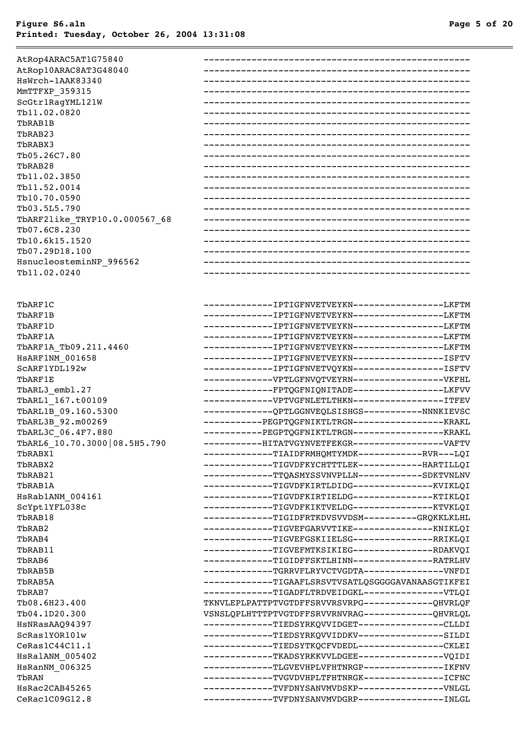| AtRop4ARAC5AT1G75840<br>AtRop10ARAC8AT3G48040<br>HsWrch-1AAK83340<br>MMTTFXP_359315<br>ScGtr1RagYML121W<br>Tb11.02.0820<br>TbRAB1B<br>TbRAB23<br>TbRABX3<br>Tb05.26C7.80<br>TbRAB28<br>Tb11.02.3850<br>Tb11.52.0014<br>Tb10.70.0590<br>Tb03.5L5.790<br>TbARF2like_TRYP10.0.000567_68<br>Tb07.6C8.230 |                                                                                                       |
|------------------------------------------------------------------------------------------------------------------------------------------------------------------------------------------------------------------------------------------------------------------------------------------------------|-------------------------------------------------------------------------------------------------------|
| Tb10.6k15.1520                                                                                                                                                                                                                                                                                       |                                                                                                       |
| Tb07.29D18.100                                                                                                                                                                                                                                                                                       |                                                                                                       |
| HsnucleosteminNP_996562                                                                                                                                                                                                                                                                              |                                                                                                       |
| Tb11.02.0240                                                                                                                                                                                                                                                                                         |                                                                                                       |
|                                                                                                                                                                                                                                                                                                      |                                                                                                       |
| TbARF1C                                                                                                                                                                                                                                                                                              | -------------IPTIGFNVETVEYKN----------------LKFTM                                                     |
| TbARF1B                                                                                                                                                                                                                                                                                              | -------------IPTIGFNVETVEYKN----------------LKFTM                                                     |
| TbARF1D                                                                                                                                                                                                                                                                                              | -------------IPTIGFNVETVEYKN----------------LKFTM                                                     |
| TbARF1A                                                                                                                                                                                                                                                                                              | -------------IPTIGFNVETVEYKN----------------LKFTM                                                     |
| TbARF1A_Tb09.211.4460                                                                                                                                                                                                                                                                                | -------------IPTIGFNVETVEYKN----------------LKFTM                                                     |
| HSARF1NM_001658                                                                                                                                                                                                                                                                                      | -------------IPTIGFNVETVEYKN-----------------ISFTV                                                    |
| SCARF1YDL192w                                                                                                                                                                                                                                                                                        | -------------IPTIGFNVETVQYKN-----------------ISFTV                                                    |
| TbARF1E                                                                                                                                                                                                                                                                                              | ------------VPTLGFNVQTVEYRN----------------VKFHL                                                      |
| TbARL3_embl.27                                                                                                                                                                                                                                                                                       | ------------FPTQGFNIQNITADE----------------LKFVV                                                      |
| TbARL1 167.t00109                                                                                                                                                                                                                                                                                    | ------------VPTVGFNLETLTHKN----------------TTFEV                                                      |
| TbARL1B_09.160.5300                                                                                                                                                                                                                                                                                  | ------------QPTLGGNVEQLSISHGS-----------NNNKIEVSC                                                     |
| TbARL3B 92.m00269                                                                                                                                                                                                                                                                                    | -----------PEGPTQGFNIKTLTRGN-----------------KRAKL                                                    |
| TbARL3C 06.4F7.880                                                                                                                                                                                                                                                                                   | -----------PEGPTQGFNIKTLTRGN-----------------KRAKL                                                    |
| TbARL6 10.70.3000 08.5H5.790                                                                                                                                                                                                                                                                         | ----------HITATVGYNVETFEKGR-----------------VAFTV                                                     |
| TbRABX1                                                                                                                                                                                                                                                                                              | ------------TIAIDFRMHQMTYMDK------------RVR---LQI                                                     |
| TbRABX2                                                                                                                                                                                                                                                                                              | ------------TIGVDFKYCHTTTLEK------------HARTILLOI                                                     |
| TbRAB21                                                                                                                                                                                                                                                                                              | ------------TTQASMYSSVNVPLLN------------SDKTVNLNV                                                     |
| TbRAB1A                                                                                                                                                                                                                                                                                              | ------------TIGVDFKIRTLDIDG--------------KVIKLQI                                                      |
| HsRab1ANM_004161                                                                                                                                                                                                                                                                                     | ------------TIGVDFKIRTIELDG---------------KTIKLQI                                                     |
| ScYpt1YFL038c<br>TbRAB18                                                                                                                                                                                                                                                                             | ------------TIGVDFKIKTVELDG--------------KTVKLQI<br>------------TIGIDFRTKDVSVVDSM----------GRQKKLKLHL |
| TbRAB2                                                                                                                                                                                                                                                                                               | ------------TIGVEFGARVVTIKE--------------KNIKLQI                                                      |
| TbRAB4                                                                                                                                                                                                                                                                                               | ------------TIGVEFGSKIIELSG---------------RRIKLOI                                                     |
| TbRAB11                                                                                                                                                                                                                                                                                              | ------------TIGVEFMTKSIKIEG--------------RDAKVQI                                                      |
| TbRAB6                                                                                                                                                                                                                                                                                               | ------------TIGIDFFSKTLHINN--------------RATRLHV                                                      |
| TbRAB5B                                                                                                                                                                                                                                                                                              | ------------TGRRVFLRYVCTVGDTA--------------VNFDI                                                      |
| TbRAB5A                                                                                                                                                                                                                                                                                              | ------------TIGAAFLSRSVTVSATLQSGGGGAVANAASGTIKFEI                                                     |
| TbRAB7                                                                                                                                                                                                                                                                                               | ------------TIGADFLTRDVEIDGKL--------------VTLQI                                                      |
| Tb08.6H23.400                                                                                                                                                                                                                                                                                        | TKNVLEPLPATTPTVGTDFFSRVVRSVRPG-------------QHVRLQF                                                    |
| Tb04.1D20.300                                                                                                                                                                                                                                                                                        | VSNSLQPLHTTTPTVGTDFFSRVVRNVRAG------------QHVRLQL                                                     |
| HsNRasAAQ94397                                                                                                                                                                                                                                                                                       | ------------TIEDSYRKQVVIDGET---------------CLLDI                                                      |
| ScRas1YOR101w                                                                                                                                                                                                                                                                                        | ------------TIEDSYRKQVVIDDKV----------------SILDI                                                     |
| CeRas1C44C11.1                                                                                                                                                                                                                                                                                       | ------------TIEDSYTKQCFVDEDL---------------CKLEI                                                      |
| HSRalANM 005402                                                                                                                                                                                                                                                                                      | ------------TKADSYRKKVVLDGEE----------------VQIDI                                                     |
| HsRanNM_006325                                                                                                                                                                                                                                                                                       | ------------TLGVEVHPLVFHTNRGP--------------IKFNV                                                      |
| TbRAN                                                                                                                                                                                                                                                                                                | ------------TVGVDVHPLTFHTNRGK---------------ICFNC                                                     |
| HsRac2CAB45265                                                                                                                                                                                                                                                                                       | ------------TVFDNYSANVMVDSKP---------------VNLGL                                                      |
| CeRac1C09G12.8                                                                                                                                                                                                                                                                                       | ------------TVFDNYSANVMVDGRP----------------INLGL                                                     |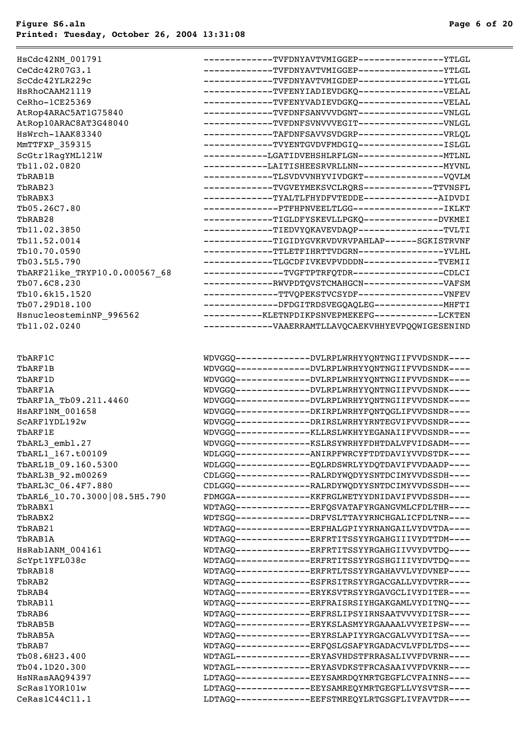$=$ 

| HsCdc42NM 001791              | ------------TVFDNYAVTVMIGGEP---------------YTLGL    |  |
|-------------------------------|-----------------------------------------------------|--|
| CeCdc42R07G3.1                | ------------TVFDNYAVTVMIGGEP---------------YTLGL    |  |
| ScCdc42YLR229c                | ------------TVFDNYAVTVMIGDEP---------------YTLGL    |  |
| HSRhoCAAM21119                | ------------TVFENYIADIEVDGKQ---------------VELAL    |  |
| CeRho-1CE25369                | ------------TVFENYVADIEVDGKQ---------------VELAL    |  |
| AtRop4ARAC5AT1G75840          | ------------TVFDNFSANVVVDGNT---------------VNLGL    |  |
| AtRop10ARAC8AT3G48040         | ------------TVFDNFSVNVVVEGIT----------------VNLGL   |  |
| HsWrch-1AAK83340              | ------------TAFDNFSAVVSVDGRP----------------VRLQL   |  |
| MMTTFXP_359315                | ------------TVYENTGVDVFMDGIQ----------------ISLGL   |  |
| ScGtr1RagYML121W              | -----------LGATIDVEHSHLRFLGN----------------MTLNL   |  |
| Tb11.02.0820                  |                                                     |  |
| TbRAB1B                       | ------------TLSVDVVNHYVIVDGKT--------------VQVLM    |  |
| TbRAB23                       | ------------TVGVEYMEKSVCLRQRS------------TTVNSFL    |  |
| TbRABX3                       | ------------TYALTLFHYDFVTEDDE-------------AIDVDI    |  |
| Tb05.26C7.80                  | -------------PTFHPNVEELTLGG-----------------IKLKT   |  |
| TbRAB28                       | ------------TIGLDFYSKEVLLPGKQ-------------DVKMEI    |  |
| Tb11.02.3850                  | ------------TIEDVYQKAVEVDAQP---------------TVLTI    |  |
| Tb11.52.0014                  | ------------TIGIDYGVKRVDVRVPAHLAP------SGKISTRVNF   |  |
| Tb10.70.0590                  | ------------TTLETFIHRTTVDGRN---------------YVLHL    |  |
| Tb03.5L5.790                  | ------------TLGCDFIVKEVPVDDDN-------------TVEMII    |  |
| TbARF2like TRYP10.0.000567 68 | --------------TVGFTPTRFQTDR----------------CDLCI    |  |
| Tb07.6C8.230                  | -------------RWVPDTQVSTCMAHGCN--------------VAFSM   |  |
| Tb10.6k15.1520                | -------------TTVQPEKSTVCSYDF---------------VNFEV    |  |
| Tb07.29D18.100                | -------------DFDGITRDSVEGQAQLEG-------------MHFTI   |  |
| HsnucleosteminNP 996562       | -----------KLETNPDIKPSNVEPMEKEFG------------LCKTEN  |  |
| Tb11.02.0240                  | ------------VAAERRAMTLLAVQCAEKVHHYEVPQQWIGESENIND   |  |
|                               |                                                     |  |
|                               |                                                     |  |
| TbARF1C                       | WDVGGQ--------------DVLRPLWRHYYQNTNGIIFVVDSNDK----  |  |
| TbARF1B                       | WDVGGQ--------------DVLRPLWRHYYQNTNGIIFVVDSNDK----  |  |
| TbARF1D                       | WDVGGQ--------------DVLRPLWRHYYQNTNGIIFVVDSNDK----  |  |
| TbARF1A                       | WDVGGQ--------------DVLRPLWRHYYQNTNGIIFVVDSNDK----  |  |
| TbARF1A Tb09.211.4460         | WDVGGQ--------------DVLRPLWRHYYQNTNGIIFVVDSNDK----  |  |
| <b>HSARF1NM 001658</b>        | WDVGGQ--------------DKIRPLWRHYFQNTQGLIFVVDSNDR----  |  |
| SCARF1YDL192w                 | WDVGGQ--------------DRIRSLWRHYYRNTEGVIFVVDSNDR----  |  |
| TbARF1E                       | WDVGGQ--------------KLLRSLWKHYYEGANAIIFVVDSNDR----  |  |
| TbARL3_embl.27                | WDVGGQ--------------KSLRSYWRHYFDHTDALVFVIDSADM----  |  |
| TbARL1 167.t00109             | WDLGGQ--------------ANIRPFWRCYFTDTDAVIYVVDSTDK----  |  |
| TbARL1B 09.160.5300           | WDLGGQ-------------EQLRDSWRLYYDQTDAVIFVVDAADP----   |  |
| TbARL3B 92.m00269             | CDLGGQ---------------RALRDYWQDYYSNTDCIMYVVDSSDH---- |  |
| TbARL3C 06.4F7.880            | CDLGGQ---------------RALRDYWQDYYSNTDCIMYVVDSSDH---- |  |
| TbARL6 10.70.3000 08.5H5.790  | FDMGGA--------------KKFRGLWETYYDNIDAVIFVVDSSDH----  |  |
| TbRABX1                       | WDTAGQ--------------ERFQSVATAFYRGANGVMLCFDLTHR----  |  |
| TbRABX2                       | WDTSGQ--------------DRFVSLTTAYYRNCHGALICFDLTNR----  |  |
| TbRAB21                       | WDTAGQ--------------ERFHALGPIYYRNANGAILVYDVTDA----  |  |
| TbRAB1A                       | WDTAGQ--------------ERFRTITSSYYRGAHGIIIVYDTTDM----  |  |
| HsRab1ANM 004161              | WDTAGQ--------------ERFRTITSSYYRGAHGIIVVYDVTDQ----  |  |
| ScYpt1YFL038c                 | WDTAGQ--------------ERFRTITSSYYRGSHGIIIVYDVTDQ----  |  |
| TbRAB18                       | WDTAGQ--------------ERFRTLTSSYYRGAHAVVLVYDVNEP----  |  |
| TbRAB2                        | WDTAGQ-------------ESFRSITRSYYRGACGALLVYDVTRR----   |  |
| TbRAB4                        | WDTAGQ--------------ERYKSVTRSYYRGAVGCLIVYDITER----  |  |
| TbRAB11                       | WDTAGQ--------------ERFRAISRSIYHGAKGAMLVYDITNQ----  |  |
| TbRAB6                        | WDTAGQ--------------ERFRSLIPSYIRNSAATVVVYDITSR----  |  |
| TbRAB5B                       | WDTAGQ--------------ERYKSLASMYYRGAAAALVVYEIPSW----  |  |
| TbRAB5A                       | WDTAGQ--------------ERYRSLAPIYYRGACGALVVYDITSA----  |  |
| TbRAB7                        | WDTAGQ--------------ERFQSLGSAFYRGADACVLVFDLTDS----  |  |
| Tb08.6H23.400                 | WDTAGL--------------ERYASVHDSTFRRASALIVVFDVRNR----  |  |
| Tb04.1D20.300                 | WDTAGL--------------ERYASVDKSTFRCASAAIVVFDVKNR----  |  |
| HsNRasAAQ94397                | LDTAGQ--------------EEYSAMRDQYMRTGEGFLCVFAINNS----  |  |
| ScRas1YOR101w                 | LDTAGQ--------------EEYSAMREQYMRTGEGFLLVYSVTSR----  |  |
|                               |                                                     |  |

CeRas1C44C11.1 LDTAGQ-------------EEFSTMREQYLRTGSGFLIVFAVTDR----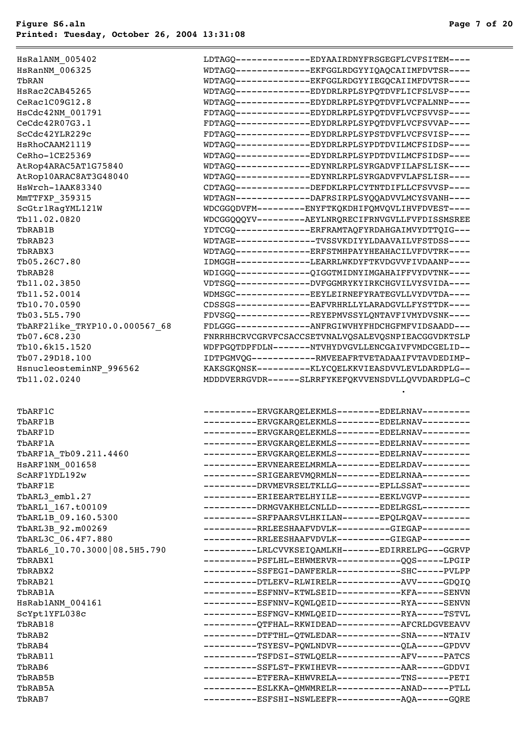HsRalANM\_005402 LDTAGQ--------------EDYAAIRDNYFRSGEGFLCVFSITEM---- HsRanNM\_006325 WDTAGQ--------------EKFGGLRDGYYIQAQCAIIMFDVTSR---- TbRAN WDTAGQ--------------EKFGGLRDGYYIEGQCAIIMFDVTSR---- HsRac2CAB45265 WDTAGQ--------------EDYDRLRPLSYPQTDVFLICFSLVSP---- CeRac1C09G12.8 WDTAGQ--------------EDYDRLRPLSYPQTDVFLVCFALNNP---- HsCdc42NM\_001791 FDTAGQ--------------EDYDRLRPLSYPQTDVFLVCFSVVSP---- CeCdc42R07G3.1 FDTAGQ--------------EDYDRLRPLSYPQTDVFLVCFSVVAP---- ScCdc42YLR229c FDTAGQ--------------EDYDRLRPLSYPSTDVFLVCFSVISP---- HsRhoCAAM21119 WDTAGQ--------------EDYDRLRPLSYPDTDVILMCFSIDSP---- CeRho-1CE25369 WDTAGQ--------------EDYDRLRPLSYPDTDVILMCFSIDSP---- AtRop4ARAC5AT1G75840 WDTAGQ--------------EDYNRLRPLSYRGADVFILAFSLISK---- AtRop10ARAC8AT3G48040 WDTAGQ--------------EDYNRLRPLSYRGADVFVLAFSLISR---- HsWrch-1AAK83340 CDTAGQ--------------DEFDKLRPLCYTNTDIFLLCFSVVSP---- MmTTFXP 359315 WDTAGN--------------DAFRSIRPLSYQQADVVLMCYSVANH----ScGtr1RagYML121W WDCGGQDVFM---------ENYFTKQKDHIFQMVQVLIHVFDVEST---- Tb11.02.0820 WDCGGQQQYV---------AEYLNRQRECIFRNVGVLLFVFDISSMSREE TbRAB1B YDTCGQ--------------ERFRAMTAQFYRDAHGAIMVYDTTQIG--- TbRAB23 WDTAGE---------------TVSSVKDIYYLDAAVAILVFSTDSS---- TbRABX3 WDTAGQ--------------ERFSTMHPAYYHEAHACILVFDVTRK---- Tb05.26C7.80 IDMGGH--------------LEARRLWKDYFTKVDGVVFIVDAANP---- TbRAB28 WDIGGQ--------------QIGGTMIDNYIMGAHAIFFVYDVTNK---- Tb11.02.3850 VDTSGQ--------------DVFGGMRYKYIRKCHGVILVYSVIDA---- Tb11.52.0014 WDMSGC--------------EEYLEIRNEFYRATEGVLLVYDVTDA---- Tb10.70.0590 CDSSGS--------------EAFVRHRLLYLARADGVLLFYSTTDK---- Tb03.5L5.790 FDVSGQ--------------REYEPMVSSYLQNTAVFIVMYDVSNK---- TbARF2like\_TRYP10.0.000567\_68 FDLGGG-------------ANFRGIWVHYFHDCHGFMFVIDSAADD---Tb07.6C8.230 FNRRHHCRVCGRVFCSACCSETVNALVOSALEVOSNPIEACGGVDKTSLP Tb10.6k15.1520 WDFPGQTDPFDLN-------NTVHYDVGVLLENCGAIVFVMDCGELID-- Tb07.29D18.100 IDTPGMVQG------------RMVEEAFRTVETADAAIFVTAVDEDIMP-HsnucleosteminNP\_996562 KAKSGKQNSK----------KLYCQELKKVIEASDVVLEVLDARDPLG-- Tb11.02.0240 MDDDVERRGVDR------SLRRFYKEFQKVVENSDVLLQVVDARDPLG-C . TbARF1C ----------ERVGKARQELEKMLS--------EDELRNAV---------

| TDARF IC                     | ---------ERVGKAROELEKMLS--------EDELRNAV--------    |  |
|------------------------------|-----------------------------------------------------|--|
| ThARF1B                      | ----------ERVGKARQELEKMLS--------EDELRNAV---------  |  |
| TbARF1D                      | ----------ERVGKAROELEKMLS--------EDELRNAV---------  |  |
| ThARF1A                      | ----------ERVGKAROELEKMLS--------EDELRNAV---------  |  |
| TbARF1A_Tb09.211.4460        | ---------ERVGKAROELEKMLS--------EDELRNAV---------   |  |
| HSARF1NM 001658              | ---------ERVNEAREELMRMLA--------EDELRDAV---------   |  |
| SCARF1YDL192w                | ---------SRIGEAREVMORMLN--------EDELRNAA---------   |  |
| TbARF1E                      | ---------DRVMEVRSELTKLLG--------EPLLSSAT---------   |  |
| TbARL3 embl.27               | ---------ERIEEARTELHYILE--------EEKLVGVP---------   |  |
| TbARL1 167.t00109            | ---------DRMGVAKHELCNLLD--------EDELRGSL---------   |  |
| TbARL1B 09.160.5300          | ----------SRFPAARSVLHKILAN-------EPOLROAV---------  |  |
| TbARL3B_92.m00269            | ----------RRLEESHAAFVDVLK----------GIEGAP---------  |  |
| TbARL3C 06.4F7.880           | ----------RRLEESHAAFVDVLK----------GIEGAP---------  |  |
| TbARL6 10.70.3000 08.5H5.790 | ----------LRLCVVKSEIQAMLKH-------EDIRRELPG---GGRVP  |  |
| TbRABX1                      | ---------PSFLHL-EHWMERVR------------QQS-----LPGIP   |  |
| TbRABX2                      | ----------SSFEGI-DAWFERLR------------SHC-----PVLPP  |  |
| TbRAB21                      | ---------DTLEKV-RLWIRELR------------AVV-----GDQIQ   |  |
| TbRAB1A                      | ----------ESFNNV-KTWLSEID------------KFA-----SENVN  |  |
| HsRab1ANM_004161             | ----------ESFNNV-KOWLOEID-------------RYA-----SENVN |  |
| ScYpt1YFL038c                | ---------ESFNGV-KMWLQEID------------RYA-----TSTVL   |  |
| TbRAB18                      | ---------QTFHAL-RKWIDEAD-----------AFCRLDGVEEAVV    |  |
| TbRAB2                       | ---------DTFTHL-QTWLEDAR-----------SNA-----NTAIV    |  |
| TbRAB4                       | ---------TSYESV-PQWLNDVR------------QLA-----GPDVV   |  |
| TbRAB11                      | ----------TSFDSI-STWLOELR------------AFV-----PATCS  |  |
| TbRAB6                       | ---------SSFLST-FKWIHEVR------------AAR-----GDDVI   |  |
| TbRAB5B                      | ---------ETFERA-KHWVRELA-----------TNS------PETI    |  |
| TbRAB5A                      | ---------ESLKKA-QMWMRELR-----------ANAD-----PTLL    |  |
| TbRAB7                       | ---------ESFSHI-NSWLEEFR------------AQA------GQRE   |  |
|                              |                                                     |  |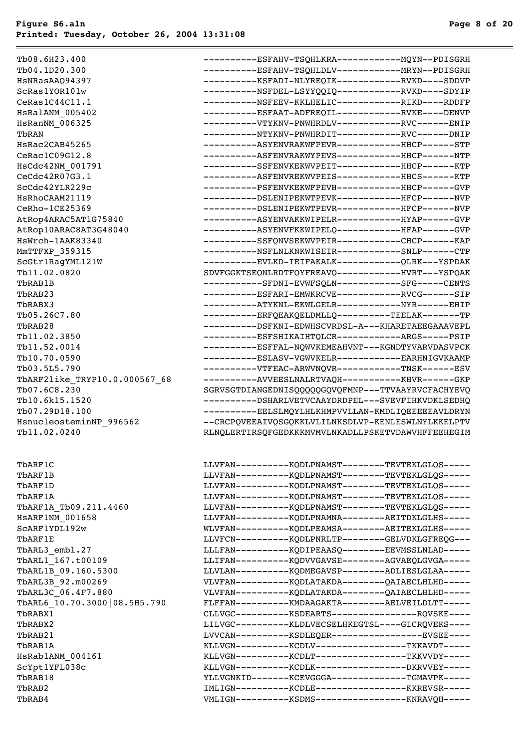Tb08.6H23.400 Tb04.1D20.300 HsNRasAAQ94397 ScRas1YOR101w  $CeRas1C44C11.1$ HsRalANM 005402  $H$ sRanNM 006325 HsRac2CAB45265  $CeRac1C09G12.8$ HsCdc42NM 001791 CeCdc42R07G3.1 ScCdc42YLR229c HsRhoCAAM21119  $Cekho-1CE25369$ AtRop4ARAC5AT1G75840 AtRop10ARAC8AT3G48040 HsWrch-1AAK83340 MmTTFXP 359315 ScGtr1RagYML121W  $Tb11.02.0820$ Tb05.26C7.80  $Tb11.02.3850$  $Th11.52.0014$  $Tb10.70.0590$ Tb03.5L5.790 TbARF2like\_TRYP10.0.000567\_68 Tb07.6C8.230 Tb10.6k15.1520 Tb07.29D18.100 HsnucleosteminNP\_996562 Tb11.02.0240 RLNQLERTIRSQFGEDKKKMVMVLNKADLLPSKETVDAWVHFFEEHEGIM TbARF1A\_Tb09.211.4460  $HSARF1NM_001658$ ScARF1YDL192w TbARL3\_embl.27 TbARL1 167.t00109 TbARL1B 09.160.5300 TbARL3B\_92.m00269 TbARL3C 06.4F7.880 TbARL6 10.70.3000 08.5H5.790  $HSRab1ANM_004161$ ScYpt1YFL038c

| Tb08.6H23.400                 | ----------ESFAHV-TSQHLKRA-------------MQYN--PDISGRH |
|-------------------------------|-----------------------------------------------------|
| Tb04.1D20.300                 | ---------ESFAHV-TSQHLDLV-------------MRYN--PDISGRH  |
| HsNRasAAO94397                | ----------KSFADI-NLYREQIK------------RVKD----SDDVP  |
| ScRas1YOR101w                 | ----------NSFDEL-LSYYQQIQ------------RVKD----SDYIP  |
| $\mathtt{Cekas1C44C11.1}$     | ----------NSFEEV-KKLHELIC------------RIKD----RDDFP  |
| HSRalANM 005402               | ---------ESFAAT-ADFREQIL------------RVKE----DENVP   |
| <b>HsRanNM 006325</b>         | ----------VTYKNV-PNWHRDLV------------RVC------ENIP  |
| TbRAN                         | ----------NTYKNV-PNWHRDIT------------RVC------DNIP  |
| HsRac2CAB45265                | ---------ASYENVRAKWFPEVR------------HHCP------STP   |
| CeRac1C09G12.8                | ---------ASFENVRAKWYPEVS------------HHCP------NTP   |
| HsCdc42NM_001791              | ---------SSFENVKEKWVPEIT------------HHCP------KTP   |
| Cecdc42R07G3.1                | ----------ASFENVREKWVPEIS------------HHCS------KTP  |
| ScCdc42YLR229c                | ---------PSFENVKEKWFPEVH-----------HHCP------GVP    |
| <b>HsRhoCAAM21119</b>         | ---------DSLENIPEKWTPEVK------------HFCP------NVP   |
| CeRho-1CE25369                | ---------DSLENIPEKWTPEVR------------HFCP------NVP   |
| AtRop4ARAC5AT1G75840          | ----------ASYENVAKKWIPELR------------HYAP------GVP  |
| AtRop10ARAC8AT3G48040         | ----------ASYENVFKKWIPELQ------------HFAP------GVP  |
| HsWrch-1AAK83340              | ---------SSFQNVSEKWVPEIR-----------CHCP------KAP    |
| MmTTFXP_359315                | ----------NSFLNLKNKWISEIR------------SNLP------CTP  |
| ScGtr1RagYML121W              | ---------EVLKD-IEIFAKALK-----------QLRK---YSPDAK    |
| Tb11.02.0820                  | SDVFGGKTSEQNLRDTFQYFREAVQ------------HVRT---YSPQAK  |
| TbRAB1B                       | ----------SFDNI-EVWFSQLN-----------SFG-----CENTS    |
| TbRAB23                       | ----------ESFARI-EMWKRCVE------------RVCG------SIP  |
| TbRABX3                       | ----------ATYKNL-EKWLGELR------------NYR------EHIP  |
| Tb05.26C7.80                  | ---------ERFQEAKQELDMLLQ---------TEELAK------TP     |
| TbRAB28                       | ---------DSFKNI-EDWHSCVRDSL-A---KHARETAEEGAAAVEPL   |
| Tb11.02.3850                  | ---------ESFSHIKAIHTQLCR------------ARGS-----PSIP   |
| Tb11.52.0014                  | ---------ESFFAL-NQWVKEMEAHVNT---KGNDTYVARVDASVPCK   |
| Tb10.70.0590                  | ----------ESLASV-VGWVKELR------------EARHNIGVKAAMP  |
| Tb03.5L5.790                  | ---------VTFEAC-ARWVNQVR-----------TNSK------ESV    |
| TbARF2like TRYP10.0.000567 68 | ----------AVVEESLNALRTVAQH-----------KHVR------GKP  |
| Tb07.6C8.230                  | SGRVSGTDIANGEDNISQQQQQGQVQFMNP---TTVAAYRVCFACHYEVQ  |
| Tb10.6k15.1520                | ---------DSHARLVETVCAAYDRDPEL---SVEVFIHKVDKLSEDHO   |
| Tb07.29D18.100                | ----------EELSLMOYLHLKHMPVVLLAN-KMDLIOEEEEEAVLDRYN  |
| HsnucleosteminNP 996562       | --CRCPOVEEAIVOSGOKKLVLILNKSDLVP-KENLESWLNYLKKELPTV  |
| Tb11.02.0240                  | RLNQLERTIRSQFGEDKKKMVMVLNKADLLPSKETVDAWVHFFEEHEGIM  |
| TbARF1C                       | LLVFAN-----------KQDLPNAMST--------TEVTEKLGLQS----- |
| TbARF1B                       | LLVFAN----------KQDLPNAMST--------TEVTEKLGLQS-----  |
|                               |                                                     |

| TbARF1B                      | LLVFAN----------KQDLPNAMST--------TEVTEKLGLQS-----  |  |
|------------------------------|-----------------------------------------------------|--|
| TbARF1D                      | LLVFAN----------KQDLPNAMST--------TEVTEKLGLQS-----  |  |
| TbARF1A                      | LLVFAN----------KQDLPNAMST--------TEVTEKLGLQS-----  |  |
| TbARF1A Tb09.211.4460        | LLVFAN----------KODLPNAMST--------TEVTEKLGLOS-----  |  |
| HSARF1NM 001658              | LLVFAN----------KQDLPNAMNA--------AEITDKLGLHS-----  |  |
| SCARF1YDL192w                | WLVFAN----------KODLPEAMSA--------AEITEKLGLHS-----  |  |
| TbARF1E                      | LLVFCN----------KQDLPNRLTP--------GELVDKLGFREQG---  |  |
| TbARL3 embl.27               | LLLFAN----------KQDIPEAASQ--------EEVMSSLNLAD-----  |  |
| TbARL1 167.t00109            | LLIFAN----------KODVVGAVSE--------AGVAEOLGVGA-----  |  |
| TbARL1B 09.160.5300          | LLVLAN----------KODMEGAVSP--------ADLIESLGLAA-----  |  |
| TbARL3B 92.m00269            | VLVFAN----------KQDLATAKDA--------QAIAECLHLHD-----  |  |
| TbARL3C 06.4F7.880           | VLVFAN----------KODLATAKDA--------OAIAECLHLHD-----  |  |
| TbARL6 10.70.3000 08.5H5.790 | FLFFAN----------KMDAAGAKTA--------AELVEILDLTT-----  |  |
| TbRABX1                      | CLLVGC----------KSDEARTS----------------RQVSKE----  |  |
| TbRABX2                      | LILVGC----------KLDLVECSELHKEGTSL----GICROVEKS----  |  |
| TbRAB21                      | LVVCAN----------KSDLEOER-----------------EVSEE----  |  |
| TbRAB1A                      | KLLVGN----------KCDLV----------------TKKAVDT-----   |  |
| HsRab1ANM 004161             | KLLVGN----------KCDLT----------------TKKVVDY-----   |  |
| ScYpt1YFL038c                | KLLVGN----------KCDLK----------------DKRVVEY-----   |  |
| TbRAB18                      | YLLVGNKID-------KCEVGGGA-------------TGMAVPK-----   |  |
| TbRAB2                       | IMLIGN----------KCDLE-----------------KKREVSR-----  |  |
| TbRAB4                       | VMLIGN----------KSDMS------------------KNRAVQH----- |  |
|                              |                                                     |  |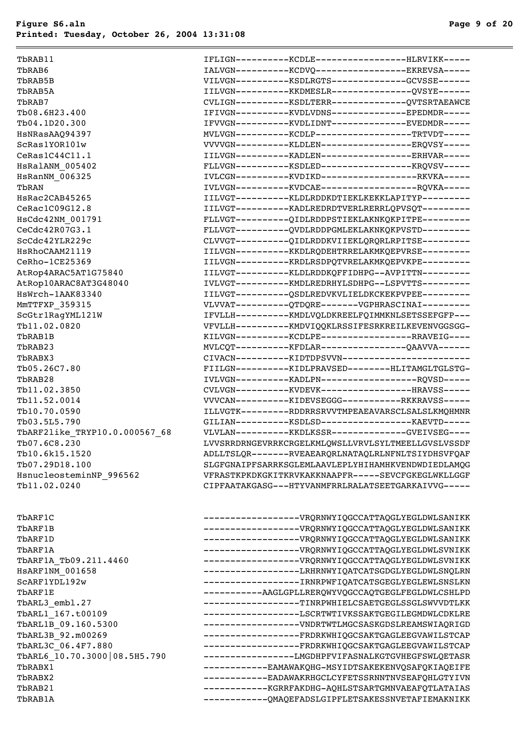TbARF1A Tb09.211.4460  $HSARF1NM$  001658 ScARF1YDL192w TbARL3\_embl.27 TbARL1\_167.t00109 TbARL1B\_09.160.5300 TbARL3B 92.m00269 TbARL3C\_06.4F7.880 TbARL6 10.70.3000 08.5H5.790 TbRABX2 ------------EADAWAKRHGCLCYFETSSRNNTNVSEAFQHLGTYIVN TbRAB21 ------------KGRRFAKDHG-AQHLSTSARTGMNVAEAFQTLATAIAS TbRAB1A ------------QMAQEFADSLGIPFLETSAKESSNVETAFIEMAKNIKK

| TbRAB11                       | IFLIGN-----------KCDLE-----------------HLRVIKK-----                                                       |  |
|-------------------------------|-----------------------------------------------------------------------------------------------------------|--|
| TbRAB6                        | IALVGN----------KCDVQ----------------EKREVSA-----                                                         |  |
| TbRAB5B                       | VILVGN----------KSDLRGTS-------------GCVSSE------                                                         |  |
| TbRAB5A                       | IILVGN----------KKDMESLR---------------QVSYE------                                                        |  |
| TbRAB7                        | CVLIGN----------KSDLTERR--------------QVTSRTAEAWCE                                                        |  |
| Tb08.6H23.400                 | IFIVGN----------KVDLVDNS-------------EPEDMDR-----                                                         |  |
| Tb04.1D20.300                 | IFVVGN----------KVDLIDNT-------------EVEDMDR-----                                                         |  |
| HsNRasAAO94397                | MVLVGN----------KCDLP-----------------TRTVDT-----                                                         |  |
| ScRas1YOR101w                 | VVVVGN----------KLDLEN----------------ERQVSY-----                                                         |  |
| $\mathtt{Cekas1C44C11.1}$     | IILVGN-----------KADLEN------------------ERHVAR-----                                                      |  |
| HsRalANM 005402               | FLLVGN----------KSDLED------------------KRQVSV-----                                                       |  |
| <b>HsRanNM 006325</b>         | IVLCGN-----------KVDIKD------------------RKVKA-----                                                       |  |
| TbRAN                         | IVLVGN----------KVDCAE------------------RQVKA-----                                                        |  |
| HsRac2CAB45265                | IILVGT----------KLDLRDDKDTIEKLKEKKLAPITYP---------                                                        |  |
| CeRac1C09G12.8                | IILVGT----------KADLREDRDTVERLRERRLOPVSOT---------                                                        |  |
| HsCdc42NM 001791              | FLLVGT----------QIDLRDDPSTIEKLAKNKQKPITPE---------                                                        |  |
| ${\tt CeCdc42R07G3.1}$        | FLLVGT----------QVDLRDDPGMLEKLAKNKQKPVSTD---------                                                        |  |
| ScCdc42YLR229c                | CLVVGT----------QIDLRDDKVIIEKLQRQRLRPITSE---------                                                        |  |
| <b>HsRhoCAAM21119</b>         | IILVGN----------KKDLRQDEHTRRELAKMKQEPVRSE---------                                                        |  |
| CeRho-1CE25369                | IILVGN----------KRDLRSDPOTVRELAKMKOEPVKPE---------                                                        |  |
| AtRop4ARAC5AT1G75840          | IILVGT----------KLDLRDDKOFFIDHPG--AVPITTN---------                                                        |  |
| AtRop10ARAC8AT3G48040         | IVLVGT----------KMDLREDRHYLSDHPG--LSPVTTS---------                                                        |  |
| HsWrch-1AAK83340              | IILVGT----------QSDLREDVKVLIELDKCKEKPVPEE---------                                                        |  |
| MmTTFXP 359315                | VLVVAT----------QTDQRE-------VGPHRASCINAI---------                                                        |  |
| ScGtr1RagYML121W              | IFVLLH-----------KMDLVQLDKREELFQIMMKNLSETSSEFGFP---                                                       |  |
| Tb11.02.0820                  | VFVLLH----------KMDVIOOKLRSSIFESRKREILKEVENVGGSGG-                                                        |  |
| TbRAB1B                       | KILVGN----------KCDLPE-----------------RRAVEIG----                                                        |  |
| TbRAB23                       | MVLCQT----------KFDLAR----------------QAAVVA------<br>CIVACN----------KIDTDPSVVN------------------------  |  |
| TbRABX3                       | FIILGN----------KIDLPRAVSED--------HLITAMGLTGLSTG-                                                        |  |
| Tb05.26C7.80                  | IVLVGN-----------KADLPN-------------------RQVSD-----                                                      |  |
| TbRAB28                       | CVLVGN----------KVDEVK------------------HRAVSS-----                                                       |  |
| Tb11.02.3850<br>Tb11.52.0014  | VVVCAN----------KIDEVSEGGG-----------RKKRAVSS-----                                                        |  |
| Tb10.70.0590                  |                                                                                                           |  |
| Tb03.5L5.790                  | ILLVGTK---------RDDRRSRVVTMPEAEAVARSCLSALSLKMOHMNR<br>GILIAN----------KSDLSD------------------KAEVTD----- |  |
| TbARF2like TRYP10.0.000567 68 | VLVLAN----------KKDLKSSR-------------GVEIVSEG----                                                         |  |
| Tb07.6C8.230                  | LVVSRRDRNGEVRRKCRGELKMLQWSLLVRVLSYLTMEELLGVSLVSSDF                                                        |  |
| Tb10.6k15.1520                | ADLLTSLQR-------RVEAEARQRLNATAQLRLNFNLTSIYDHSVFQAF                                                        |  |
| Tb07.29D18.100                | SLGFGNAIPFSARRKSGLEMLAAVLEPLYHIHAMHKVENDWDIEDLAMQG                                                        |  |
| HsnucleosteminNP_996562       | VFRASTKPKDKGKITKRVKAKKNAAPFR-----SEVCFGKEGLWKLLGGF                                                        |  |
| Tb11.02.0240                  | CIPFAATAKGASG---HTYVANMFRRLRALATSEETGARKAIVVG-----                                                        |  |
|                               |                                                                                                           |  |
| TbARF1C                       | --------------------VRQRNWYIQGCCATTAQGLYEGLDWLSANIKK                                                      |  |
| TbARF1B                       | -------------------VRQRNWYIQGCCATTAQGLYEGLDWLSANIKK                                                       |  |
| TbARF1D                       | -------------------VRQRNWYIQGCCATTAQGLYEGLDWLSANIKK                                                       |  |
| TbARF1A                       | -------------------VRQRNWYIQGCCATTAQGLYEGLDWLSVNIKK                                                       |  |
| TbARF1A Tb09.211.4460         | -------------------VRQRNWYIQGCCATTAQGLYEGLDWLSVNIKK                                                       |  |
| <b>HSARF1NM 001658</b>        | -----------------LRHRNWYIQATCATSGDGLYEGLDWLSNQLRN                                                         |  |
| SCARF1YDL192w                 |                                                                                                           |  |
| TbARF1E                       | -----------AAGLGPLLRERQWYVQGCCAQTGEGLFEGLDWLCSHLPD                                                        |  |
| TbARL3 embl.27                | -----------------TINRPWHIELCSAETGEGLSSGLSWVVDTLKK                                                         |  |
| TbARL1 167.t00109             | -----------------LSCRTWTIVKSSAKTGEGILEGMDWLCDKLRE                                                         |  |
| TbARL1B 09.160.5300           | --------------------VNDRTWTLMGCSASKGDSLREAMSWIAQRIGD                                                      |  |
| TbARL3B 92.m00269             | -----------------FRDRKWHIQGCSAKTGAGLEEGVAWILSTCAP                                                         |  |
| TbARL3C 06.4F7.880            | -----------------FRDRKWHIQGCSAKTGAGLEEGVAWILSTCAP                                                         |  |
| TbARL6 10.70.3000 08.5H5.790  | ----------------LMGDHPFVIFASNALKGTGVHEGFSWLQETASR                                                         |  |
| TbRABX1                       | -----------EAMAWAKQHG-MSYIDTSAKEKENVQSAFQKIAQEIFE                                                         |  |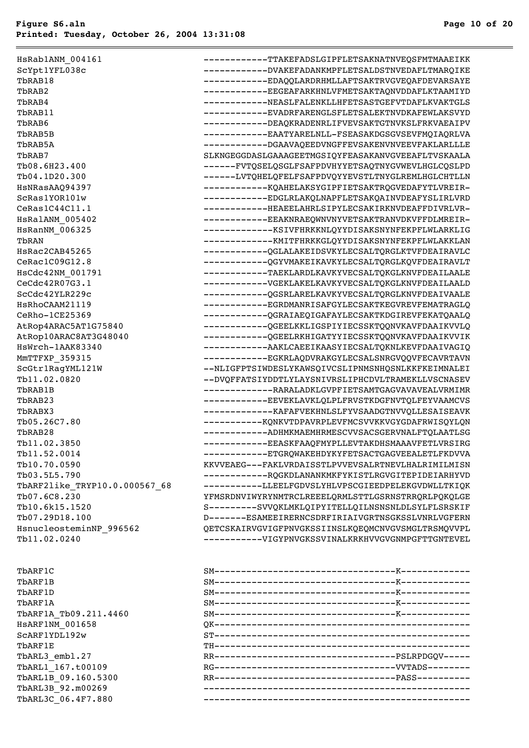| HsRab1ANM 004161              | -----------TTAKEFADSLGIPFLETSAKNATNVEQSFMTMAAEIKK  |
|-------------------------------|----------------------------------------------------|
| ScYpt1YFL038c                 | -----------DVAKEFADANKMPFLETSALDSTNVEDAFLTMARQIKE  |
| TbRAB18                       | -----------EDAQQLARDRHMLLAFTSAKTRVGVEQAFDEVARSAYE  |
| TbRAB2                        | -----------EEGEAFARKHNLVFMETSAKTAQNVDDAFLKTAAMIYD  |
| TbRAB4                        | ------------NEASLFALENKLLHFETSASTGEFVTDAFLKVAKTGLS |
| TbRAB11                       | -----------EVADRFARENGLSFLETSALEKTNVDKAFEWLAKSVYD  |
| TbRAB6                        | -----------DEAQKRADENRLIFVEVSAKTGTNVKSLFRKVAEAIPV  |
| TbRAB5B                       | -----------EAATYARELNLL-FSEASAKDGSGVSEVFMQIAQRLVA  |
| TbRAB5A                       | -----------DGAAVAQEEDVNGFFEVSAKENVNVEEVFAKLARLLLE  |
| TbRAB7                        | SLKNGEGGDASLGAAAGEETMGSIOYFEASAKANVGVEEAFLTVSKAALA |
| Tb08.6H23.400                 | ------FVTQSELQSGLFSAFPDVHYYETSAQTNYGVWEVLHGLCQSLPD |
| Tb04.1D20.300                 | ------LVTQHELQFELFSAFPDVQYYEVSTLTNYGLREMLHGLCHTLLN |
| HsNRasAAQ94397                | ------------KQAHELAKSYGIPFIETSAKTRQGVEDAFYTLVREIR- |
| ScRas1YOR101w                 | -----------EDGLRLAKQLNAPFLETSAKQAINVDEAFYSLIRLVRD  |
| Cekas1C44C11.1                | ------------HEAEELAHRLSIPYLECSAKIRKNVDEAFFDIVRLVR- |
| HSRalANM 005402               | -----------EEAKNRAEQWNVNYVETSAKTRANVDKVFFDLMREIR-  |
| HsRanNM 006325                | -------------KSIVFHRKKNLQYYDISAKSNYNFEKPFLWLARKLIG |
| TbRAN                         | -------------KMITFHRKKGLQYYDISAKSNYNFEKPFLWLAKKLAN |
| HsRac2CAB45265                | -----------QGLALAKEIDSVKYLECSALTQRGLKTVFDEAIRAVLC  |
| CeRac1C09G12.8                | -----------QGYVMAKEIKAVKYLECSALTQRGLKQVFDEAIRAVLT  |
| HsCdc42NM 001791              | -----------TAEKLARDLKAVKYVECSALTQKGLKNVFDEAILAALE  |
| CeCdc42R07G3.1                | ------------VGEKLAKELKAVKYVECSALTQKGLKNVFDEAILAALD |
| ScCdc42YLR229c                | -----------QGSRLARELKAVKYVECSALTQRGLKNVFDEAIVAALE  |
| <b>HSRhoCAAM21119</b>         | -----------EGRDMANRISAFGYLECSAKTKEGVREVFEMATRAGLQ  |
| CeRho-1CE25369                | -----------QGRAIAEQIGAFAYLECSAKTKDGIREVFEKATQAALQ  |
| AtRop4ARAC5AT1G75840          | -----------QGEELKKLIGSPIYIECSSKTQQNVKAVFDAAIKVVLQ  |
| AtRop10ARAC8AT3G48040         | -----------QGEELRKHIGATYYIECSSKTQQNVKAVFDAAIKVVIK  |
| HsWrch-1AAK83340              | ------------AAKLCAEEIKAASYIECSALTQKNLKEVFDAAIVAGIQ |
| MmTTFXP 359315                | -----------EGKRLAQDVRAKGYLECSALSNRGVQQVFECAVRTAVN  |
| ScGtr1RagYML121W              | --NLIGFPTSIWDESLYKAWSQIVCSLIPNMSNHQSNLKKFKEIMNALEI |
| Tb11.02.0820                  | --DVQFFATSIYDDTLYLAYSNIVRSLIPHCDVLTRAMEKLLVSCNASEV |
| TbRAB1B                       | -------------RARALADKLGVPFIETSAMTGAGVAVAVEALVRMIMR |
| TbRAB23                       | -----------EEVEKLAVKLQLPLFRVSTKDGFNVTQLFEYVAAMCVS  |
| TbRABX3                       | -------------KAFAFVEKHNLSLFYVSAADGTNVVQLLESAISEAVK |
| Tb05.26C7.80                  | -----------KQNKVTDPAVRPLEVFMCSVVKKVGYGDAFRWISQYLQN |
| TbRAB28                       | ------------ADHMKMAEMHRMESCVVSACSGERVNALFTQLAATLSG |
| Tb11.02.3850                  | -----------EEASKFAAQFMYPLLEVTAKDHSMAAAVFETLVRSIRG  |
| Tb11.52.0014                  | -----------ETGRQWAKEHDYKYFETSACTGAGVEEALETLFKDVVA  |
| Tb10.70.0590                  | KKVVEAEG---FAKLVRDAISSTLPVVEVSALRTNEVLHALRIMILMISN |
| Tb03.5L5.790                  | ------------RQGKDLANANKMKFYKISTLRGVGITEPIDEIARHYVD |
| TbARF2like TRYP10.0.000567 68 | ----------LLEELFGDVSLYHLVPSCGIEEDPELEKGVDWLLTKIQK  |
| Tb07.6C8.230                  | YFMSRDNVIWYRYNMTRCLREEELQRMLSTTLGSRNSTRRQRLPQKQLGE |
| Tb10.6k15.1520                | S---------SVVQKLMKLQIPYITELLQILNSNSNLDLSYLFLSRSKIF |
| Tb07.29D18.100                | D-------ESAMEEIRERNCSDRFIRIAIVGRTNSGKSSLVNRLVGFERN |
| HsnucleosteminNP 996562       | QETCSKAIRVGVIGFPNVGKSSIINSLKQEQMCNVGVSMGLTRSMQVVPL |
| Tb11.02.0240                  | -----------VIGYPNVGKSSVINALKRKHVVGVGNMPGFTTGNTEVEL |
|                               |                                                    |

```
TbARF1A_Tb09.211.4460 S
HsARF1NM_001658 QK------------------------------------------------
SCARF1YDL192wTbARL3_embl.27 R
T\text{bARL1} 167.t00109 F
TbARL1B_09.160.5300 R
TbARL3B_92.m00269 --------------------------------------------------
TbARL3C_06.4F7.880 --------------------------------------------------
```

| TbARF1C               |                                                     |  |
|-----------------------|-----------------------------------------------------|--|
| TbARF1B               |                                                     |  |
|                       |                                                     |  |
| TbARF1D               |                                                     |  |
| TbARF1A               |                                                     |  |
| TbARF1A Tb09.211.4460 |                                                     |  |
| HSARF1NM 001658       |                                                     |  |
| SCARF1YDL192w         |                                                     |  |
| TbARF1E               |                                                     |  |
| TbARL3_embl.27        |                                                     |  |
| TbARL1 167.t00109     | RG-----------------------------------VVTADS-------- |  |
| TbARL1B 09.160.5300   |                                                     |  |
| TbARL3B 92.m00269     |                                                     |  |
| TbARL3C 06.4F7.880    |                                                     |  |
|                       |                                                     |  |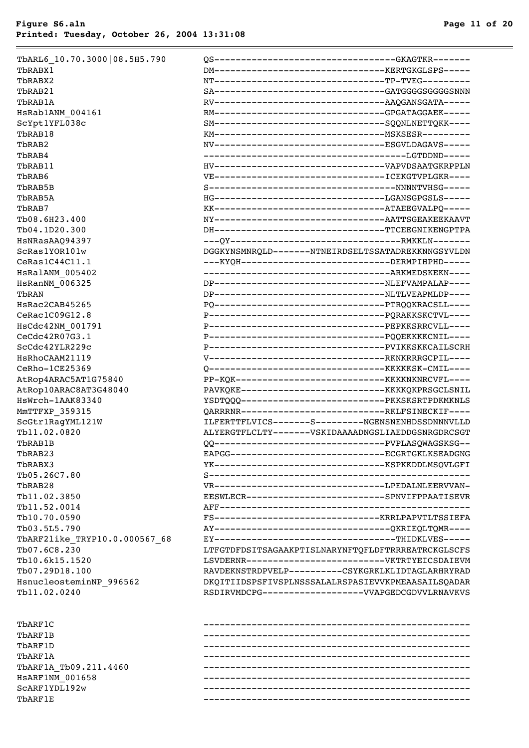| rbRABX1                       |
|-------------------------------|
| rbrabx2                       |
| rbRAB21                       |
| rbRAB1A                       |
| IsRab1ANM 004161              |
| ScYpt1YFL038c                 |
| PbRAB18                       |
| PbRAB2                        |
| $PBRAB4$                      |
| rbRAB11                       |
| rbRAB6                        |
| rbrab5B                       |
| rbRAB5A                       |
| rbRAB7                        |
| rb08.6H23.400                 |
| rb04.1D20.300                 |
| IsNRasAAQ94397                |
| ScRas1YOR101w                 |
| Cekas1C44C11.1                |
| IsRalANM 005402               |
| <b>IsRanNM 006325</b>         |
| ľbRAN                         |
| IsRac2CAB45265                |
| CeRac1C09G12.8                |
| IsCdc42NM 001791              |
| Cecdc42R07G3.1                |
| ScCdc42YLR229c                |
| IsRhoCAAM21119                |
| CeRho-1CE25369                |
| AtRop4ARAC5AT1G75840          |
| AtRop10ARAC8AT3G48040         |
| IsWrch-1AAK83340              |
| 1mTTFXP 359315                |
| ScGtr1RagYML121W              |
| Pb11.02.0820                  |
| rbRAB1B                       |
| PbRAB23                       |
| rbRABX3                       |
| rb05.26C7.80                  |
| PbRAB28                       |
| Pb11.02.3850                  |
| Pb11.52.0014                  |
| rb10.70.0590                  |
| rb03.5L5.790                  |
| PbARF2like TRYP10.0.000567 68 |
| rb07.6C8.230                  |
| rb10.6k15.1520                |
| rb07.29D18.100                |
| IsnucleosteminNP 996562       |
| Pb11.02.0240                  |
|                               |

| TbARL6 10.70.3000 08.5H5.790  | 0S--------------------------------GKAGTKR-------        |
|-------------------------------|---------------------------------------------------------|
| TbRABX1                       | DM-----------------------------------KERTGKGLSPS-----   |
| TbRABX2                       | NT--------------------------------TP-TVEG---------      |
| TbRAB21                       | SA------------------------------GATGGGGSGGGSNNN         |
| TbRAB1A                       |                                                         |
| HsRab1ANM 004161              | RM------------------------------GPGATAGGAEK-----        |
| ScYpt1YFL038c                 | SM-------------------------------SQQNLNETTQKK----       |
| TbRAB18                       |                                                         |
| TbRAB2                        | NV--------------------------------ESGVLDAGAVS-----      |
| TbRAB4                        | -------------------------------------LGTDDND-----       |
| TbRAB11                       |                                                         |
| TbRAB6                        |                                                         |
| TbRAB5B                       |                                                         |
| TbRAB5A                       | HG--------------------------------LGANSGPGSLS-----      |
| TbRAB7                        | KK----------------------------------ATAEEGVALPQ-----    |
| Tb08.6H23.400                 | NY----------------------------------AATTSGEAKEEKAAVT    |
| Tb04.1D20.300                 | DH-------------------------------TTCEEGNIKENGPTPA       |
| HsNRasAAQ94397                |                                                         |
| ScRas1YOR101w                 | DGGKYNSMNRQLD-------NTNEIRDSELTSSATADREKKNNGSYVLDN      |
| $\mathtt{Cekas1C44C11.1}$     | ---KYOH--------------------------DERMPIHPHD-----        |
| HSRalANM 005402               |                                                         |
| <b>HsRanNM 006325</b>         | DP----------------------------------NLEFVAMPALAP----    |
| TbRAN                         | DP----------------------------------NLTLVEAPMLDP----    |
| HsRac2CAB45265                | PO--------------------------------PTRQQKRACSLL----      |
| CeRac1C09G12.8                | P---------------------------------PQRAKKSKCTVL----      |
| HsCdc42NM 001791              | P---------------------------------PEPKKSRRCVLL----      |
| CeCdc42R07G3.1                | P--------------------------------PQQEKKKKCNIL----       |
| ScCdc42YLR229c                | P---------------------------------PVIKKSKKCAILSCRH      |
| <b>HsRhoCAAM21119</b>         |                                                         |
| CeRho-1CE25369                |                                                         |
| AtRop4ARAC5AT1G75840          |                                                         |
| AtRop10ARAC8AT3G48040         | PAVKQKE-----------------------------KKKKQKPRSGCLSNIL    |
| HsWrch-1AAK83340              | YSDTQQQ------------------------------- PKKSKSRTPDKMKNLS |
| MmTTFXP_359315                | OARRRNR---------------------------RKLFSINECKIF----      |
| ScGtr1RagYML121W              | ILFERTTFLVICS-------S---------NGENSNENHDSSDNNNVLLD      |
| Tb11.02.0820                  | ALYERGTFLCLTY-------VSKIDAAAADNGSLIAEDDGSNRGDRCSGT      |
| TbRAB1B                       | QQ--------------------------------PVPLASQWAGSKSG--      |
| TbRAB23                       | EAPGG----------------------------ECGRTGKLKSEADGNG       |
| TbRABX3                       |                                                         |
| Tb05.26C7.80                  |                                                         |
| TbRAB28                       |                                                         |
| Tb11.02.3850                  | EESWLECR-------------------------SPNVIFPPAATISEVR       |
| Tb11.52.0014                  |                                                         |
| Tb10.70.0590                  |                                                         |
| Tb03.5L5.790                  | AY--------------------------------QKRIEQLTQMR----       |
| TbARF2like TRYP10.0.000567 68 | EY---------------------------------THIDKLVES-----       |
| Tb07.6C8.230                  | LTFGTDFDSITSAGAAKPTISLNARYNFTQFLDFTRRREATRCKGLSCFS      |
| Tb10.6k15.1520                | LSVDERNR--------------------------VKTRTYEICSDAIEVM      |
| Tb07.29D18.100                | RAVDEKNSTRDPVELP---------CSYKGRKLKLIDTAGLARHRYRAD       |
| HsnucleosteminNP 996562       | DKQITIIDSPSFIVSPLNSSSALALRSPASIEVVKPMEAASAILSQADAR      |
| Tb11.02.0240                  | RSDIRVMDCPG-------------------VVAPGEDCGDVVLRNAVKVS      |
|                               |                                                         |

| ThARF1C               |  |
|-----------------------|--|
| ThARF1B               |  |
| ThARF1D               |  |
| ThARF1A               |  |
| TbARF1A Tb09.211.4460 |  |
| HSARF1NM 001658       |  |
| SCARF1YDL192w         |  |
| ThARF1E               |  |
|                       |  |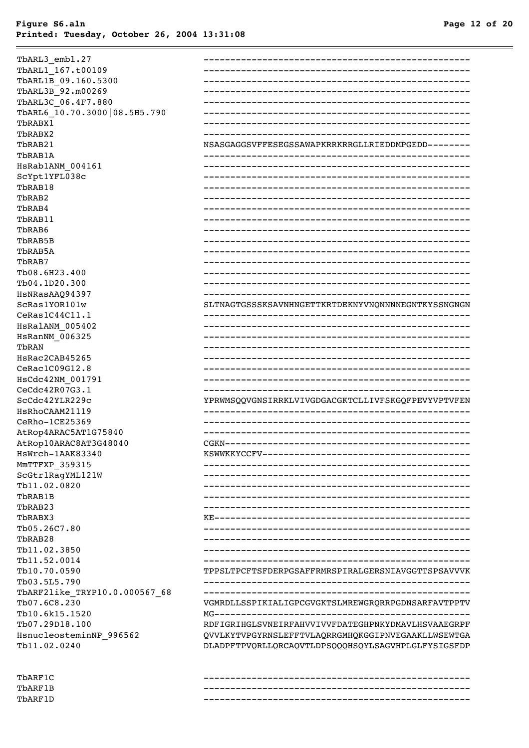| TbARL3_embl.27                |                                                    |
|-------------------------------|----------------------------------------------------|
| TbARL1 167.t00109             |                                                    |
| TbARL1B 09.160.5300           |                                                    |
| TbARL3B_92.m00269             |                                                    |
| TbARL3C 06.4F7.880            |                                                    |
| TbARL6 10.70.3000 08.5H5.790  |                                                    |
| TbRABX1                       |                                                    |
| TbRABX2                       |                                                    |
| TbRAB21                       | NSASGAGGSVFFESEGSSAWAPKRRKRRGLLRIEDDMPGEDD-------- |
| TbRAB1A                       |                                                    |
| HsRab1ANM 004161              |                                                    |
| ScYpt1YFL038c                 |                                                    |
| TbRAB18                       |                                                    |
| TbRAB2                        |                                                    |
| TbRAB4                        |                                                    |
| TbRAB11                       |                                                    |
| TbRAB6                        |                                                    |
| TbRAB5B                       |                                                    |
| TbRAB5A                       |                                                    |
| TbRAB7                        |                                                    |
| Tb08.6H23.400                 |                                                    |
| Tb04.1D20.300                 |                                                    |
| HSNRasAAQ94397                |                                                    |
| ScRas1YOR101w                 | SLTNAGTGSSSKSAVNHNGETTKRTDEKNYVNQNNNNEGNTKYSSNGNGN |
| CeRas1C44C11.1                |                                                    |
| HsRalANM_005402               |                                                    |
| HsRanNM_006325                |                                                    |
| TbRAN                         |                                                    |
| HsRac2CAB45265                |                                                    |
| CeRac1C09G12.8                |                                                    |
| HsCdc42NM 001791              |                                                    |
| CeCdc42R07G3.1                |                                                    |
| ScCdc42YLR229c                | YPRWMSQQVGNSIRRKLVIVGDGACGKTCLLIVFSKGQFPEVYVPTVFEN |
| HSRhoCAAM21119                |                                                    |
| CeRho-1CE25369                |                                                    |
| AtRop4ARAC5AT1G75840          |                                                    |
| AtRop10ARAC8AT3G48040         |                                                    |
| HsWrch-1AAK83340              | KSWWKKYCCFV----------------                        |
| MMTTFXP 359315                |                                                    |
| ScGtr1RagYML121W              |                                                    |
| Tb11.02.0820                  |                                                    |
| TbRAB1B                       |                                                    |
| TbRAB23                       |                                                    |
| TbRABX3                       |                                                    |
| Tb05.26C7.80                  |                                                    |
| TbRAB28                       |                                                    |
| Tb11.02.3850                  |                                                    |
| Tb11.52.0014                  |                                                    |
| Tb10.70.0590                  | TPPSLTPCFTSFDERPGSAFFRMRSPIRALGERSNIAVGGTTSPSAVVVK |
| Tb03.5L5.790                  | ------------------------------                     |
| TbARF2like_TRYP10.0.000567_68 |                                                    |
| Tb07.6C8.230                  | VGMRDLLSSPIKIALIGPCGVGKTSLMREWGRQRRPGDNSARFAVTPPTV |
| Tb10.6k15.1520                |                                                    |
| Tb07.29D18.100                | RDFIGRIHGLSVNEIRFAHVVIVVFDATEGHPNKYDMAVLHSVAAEGRPF |
| HsnucleosteminNP 996562       | QVVLKYTVPGYRNSLEFFTVLAQRRGMHQKGGIPNVEGAAKLLWSEWTGA |
| Tb11.02.0240                  | DLADPFTPVQRLLQRCAQVTLDPSQQQHSQYLSAGVHPLGLFYSIGSFDP |
|                               |                                                    |
| TbARF1C                       |                                                    |

TbARF1B -------------------------------------------------- TbARF1D --------------------------------------------------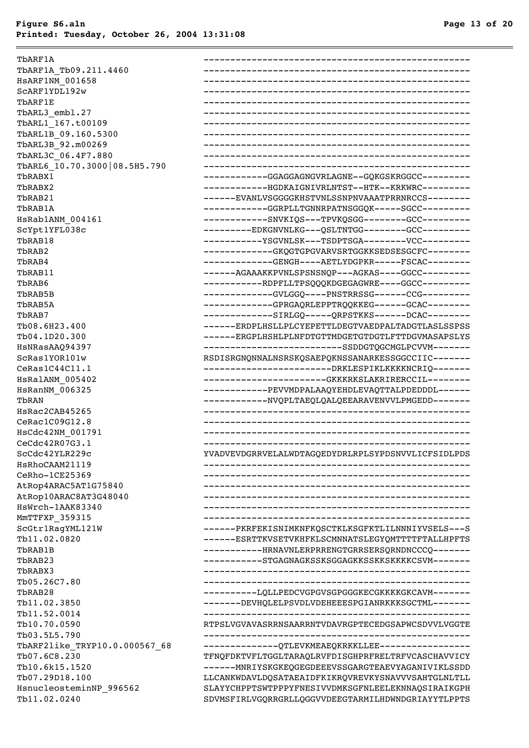| TbARF1A                       |                                                     |
|-------------------------------|-----------------------------------------------------|
| TbARF1A Tb09.211.4460         |                                                     |
| HSARF1NM 001658               |                                                     |
| SCARF1YDL192w                 |                                                     |
| TbARF1E                       |                                                     |
| TbARL3 embl.27                |                                                     |
| TbARL1 167.t00109             |                                                     |
| TbARL1B 09.160.5300           |                                                     |
| TbARL3B 92.m00269             |                                                     |
| TbARL3C 06.4F7.880            |                                                     |
| TbARL6 10.70.3000 08.5H5.790  |                                                     |
| TbRABX1                       | -----------GGAGGAGNGVRLAGNE--GQKGSKRGGCC---------   |
| TbRABX2                       | -----------HGDKAIGNIVRLNTST--HTK--KRKWRC---------   |
| TbRAB21                       | ------EVANLVSGGGGKHSTVNLSSNPNVAAATPRRNRCCS--------  |
| TbRAB1A                       | -----------GGRPLLTGNNRPATNSGGQK-----SGCC---------   |
| HSRab1ANM 004161              | -----------SNVKIQS---TPVKQSGG--------GCC---------   |
| ScYpt1YFL038c                 | ---------EDKGNVNLKG---OSLTNTGG--------GCC--------   |
| TbRAB18                       | ----------YSGVNLSK---TSDPTSGA--------VCC--------    |
| TbRAB2                        | ------------GKQGTGPGVARVSRTGGKKSEDSESGCFC--------   |
| TbRAB4                        | ------------GENGH----AETLYDGPKR-----FSCAC--------   |
| TbRAB11                       | ------AGAAAKKPVNLSPSNSNQP---AGKAS----GGCC---------  |
| TbRAB6                        | -----------RDPFLLTPSQQQKDGEGAGWRE----GGCC---------  |
| TbRAB5B                       | ------------GVLGGQ----PNSTRRSSG------CCG---------   |
| TbRAB5A                       | ------------GPRGAQRLEPPTRQQKKEG------GCAC--------   |
| TbRAB7                        | ------------SIRLGQ-----QRPSTKKS------DCAC--------   |
| Tb08.6H23.400                 | ------ERDPLHSLLPLCYEPETTLDEGTVAEDPALTADGTLASLSSPSS  |
| Tb04.1D20.300                 | ------ERGPLHSHLPLNFDTGTTMDGETGTDGTLFTTDGVMASAPSLYS  |
| HSNRasAA094397                | -------------------------SSDDGTQGCMGLPCVVM-------   |
| ScRas1YOR101w                 | RSDISRGNQNNALNSRSKQSAEPQKNSSANARKESSGGCCIIC-------  |
| CeRas1C44C11.1                | ------------------------DRKLESPIKLKKKKNCRIQ-------  |
| HSRalANM 005402               | ------------------------GKKKRKSLAKRIRERCCIL-------- |
| HsRanNM 006325                | -----------PEVVMDPALAAQYEHDLEVAQTTALPDEDDDL------   |
| TbRAN                         | -----------NVQPLTAEQLQALQEEARAVENVVLPMGEDD-------   |
| HsRac2CAB45265                |                                                     |
| CeRac1C09G12.8                |                                                     |
| HsCdc42NM 001791              |                                                     |
| CeCdc42R07G3.1                |                                                     |
| ScCdc42YLR229c                | YVADVEVDGRRVELALWDTAGQEDYDRLRPLSYPDSNVVLICFSIDLPDS  |
| HsRhoCAAM21119                |                                                     |
| CeRho-1CE25369                |                                                     |
| AtRop4ARAC5AT1G75840          |                                                     |
| AtRop10ARAC8AT3G48040         |                                                     |
| HsWrch-1AAK83340              |                                                     |
| MMTTFXP_359315                |                                                     |
| ScGtr1RagYML121W              | ------PKRFEKISNIMKNFKQSCTKLKSGFKTLILNNNIYVSELS---S  |
| Tb11.02.0820                  | ------ESRTTKVSETVKHFKLSCMNNATSLEGYQMTTTTFTALLHPFTS  |
| TbRAB1B                       | -----------HRNAVNLERPRRENGTGRRSERSQRNDNCCCQ-------  |
| TbRAB23                       | ----------STGAGNAGKSSKSGGAGKKSSKKSKKKKCSVM-------   |
| TbRABX3                       |                                                     |
| Tb05.26C7.80                  |                                                     |
| TbRAB28                       | ---------LQLLPEDCVGPGVSGPGGGKECGKKKKGKCAVM-------   |
| Tb11.02.3850                  | -------DEVHQLELPSVDLVDEHEEESPGIANRKKKSGCTML-------  |
| Tb11.52.0014                  |                                                     |
| Tb10.70.0590                  | RTPSLVGVAVASRRNSAARRNTVDAVRGPTECEDGSAPWCSDVVLVGGTE  |
| Tb03.5L5.790                  |                                                     |
| TbARF2like TRYP10.0.000567 68 | --------------QTLEVKMEAEQKRKKLLEE-----------------  |
| Tb07.6C8.230                  | TFNQFDKTVFLTGGLTARAQLRVFDISGHPRFRELTRFVCASCHAVVICY  |
| Tb10.6k15.1520                | ------MNRIYSKGKEQGEGDEEEVSSGARGTEAEVYAGANIVIKLSSDD  |
| Tb07.29D18.100                | LLCANKWDAVLDQSATAEAIDFKIKRQVREVKYSNAVVVSAHTGLNLTLL  |
| HsnucleosteminNP 996562       | SLAYYCHPPTSWTPPPYFNESIVVDMKSGFNLEELEKNNAQSIRAIKGPH  |
| Tb11.02.0240                  | SDVMSFIRLVGQRRGRLLQGGVVDEEGTARMILHDWNDGRIAYYTLPPTS  |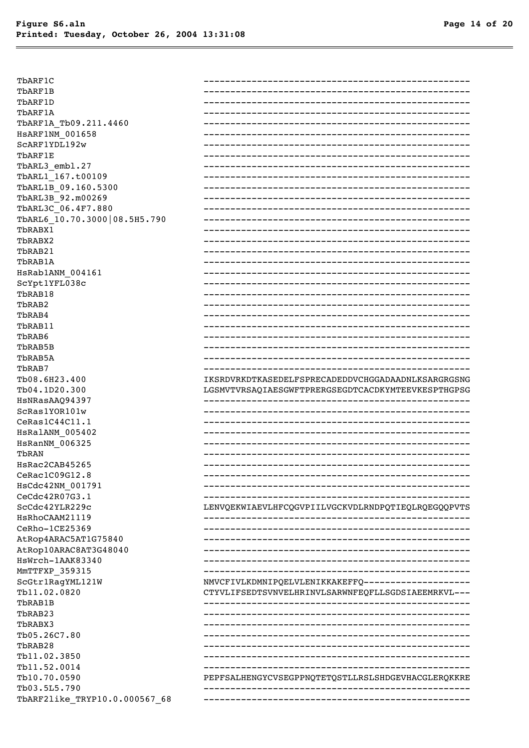TbARF1C TbARF1B TbARF1D TbARF1A TbARF1A Tb09.211.4460 HSARF1NM 001658 SCARF1YDL192w TbARF1E TbARL3 embl.27 TbARL1 167.t00109 TbARL1B 09.160.5300 TbARL3B 92.m00269 TbARL3C 06.4F7.880 TbARL6 10.70.3000 08.5H5.790 TbRABX1 TbRABX2 TbRAB21 TbRAB1A HsRab1ANM 004161 ScYpt1YFL038c TbRAB18 TbRAB2 TbRAB4 TbRAB11 TbRAB6 TbRAB5B TbRAB5A TbRAB7 Tb08.6H23.400 Tb04.1D20.300 HSNRasAAQ94397 ScRas1YOR101w CeRas1C44C11.1 HSRalANM 005402 HsRanNM\_006325 TbRAN HsRac2CAB45265 CeRac1C09G12.8 HsCdc42NM 001791 CeCdc42R07G3.1 ScCdc42YLR229c HsRhoCAAM21119 CeRho-1CE25369 AtRop4ARAC5AT1G75840 AtRop10ARAC8AT3G48040 HsWrch-1AAK83340 MMTTFXP 359315 ScGtr1RagYML121W Tb11.02.0820 TbRAB1B TbRAB23 TbRABX3 Tb05.26C7.80 TbRAB28 Tb11.02.3850 Tb11.52.0014 Tb10.70.0590 Tb03.5L5.790 TbARF2like\_TRYP10.0.000567\_68

| IKSRDVRKDTKASEDELFSPRECADEDDVCHGGADAADNLKSARGRGSNG |
|----------------------------------------------------|
| LGSMVTVRSAQIAESGWFTPRERGSEGDTCACDKYMTEEVKESPTHGPSG |
|                                                    |
|                                                    |
|                                                    |
|                                                    |
|                                                    |
|                                                    |
|                                                    |
|                                                    |
|                                                    |
|                                                    |
|                                                    |
| LENVQEKWIAEVLHFCQGVPIILVGCKVDLRNDPQTIEQLRQEGQQPVTS |
|                                                    |
|                                                    |
|                                                    |
|                                                    |
|                                                    |
|                                                    |
| NMVCFIVLKDMNIPQELVLENIKKAKEFFQ-------------------  |
|                                                    |
|                                                    |
|                                                    |
|                                                    |
|                                                    |
|                                                    |
|                                                    |
|                                                    |
| CTYVLIFSEDTSVNVELHRINVLSARWNFEQFLLSGDSIAEEMRKVL--- |
| PEPFSALHENGYCVSEGPPNQTETQSTLLRSLSHDGEVHACGLERQKKRE |
|                                                    |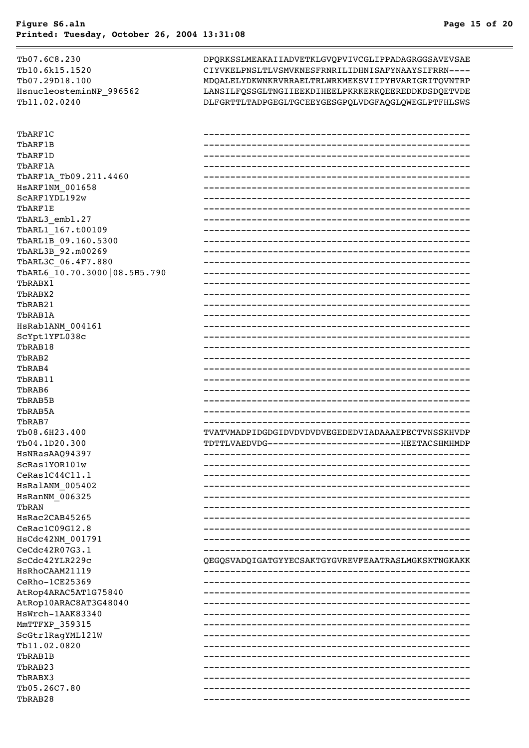Tb07.6C8.230 Tb10.6k15.1520 Tb07.29D18.100 HsnucleosteminNP 996562 Tb11.02.0240 ThARF1C TbARF1B TbARF1D **ThARF1A** TbARF1A Tb09.211.4460 **HSARF1NM 001658** SCARF1YDL192w TbARF1E TbARL3 embl.27 TbARL1 167.t00109 TbARL1B 09.160.5300 TbARL3B 92.m00269 TbARL3C 06.4F7.880 TbARL6 10.70.3000 08.5H5.790 Thranx1 TbRABX2 TbRAB21 TbRAB1A HSRab1ANM 004161 ScYpt1YFL038c TbRAB18 ThRAB<sub>2</sub> TbRAB4 TbRAB11 TbRAB6 TbRAB5B TbRAB5A ThRAB7 Tb08.6H23.400 Tb04.1D20.300 HSNRasAA094397 ScRas1YOR101w CeRas1C44C11.1 HSRalANM 005402 HsRanNM 006325 TbRAN HsRac2CAB45265 CeRac1C09G12.8 HsCdc42NM 001791 CeCdc42R07G3.1 ScCdc42YLR229c HSRhoCAAM21119 CeRho-1CE25369 AtRop4ARAC5AT1G75840 AtRop10ARAC8AT3G48040 HsWrch-1AAK83340 MMTTFXP 359315 ScGtr1RagYML121W Tb11.02.0820 TbRAB1B TbRAB23 TbRABX3 Tb05.26C7.80

TbRAB28

DPQRKSSLMEAKAIIADVETKLGVQPVIVCGLIPPADAGRGGSAVEVSAE CIYVKELPNSLTLVSMVKNESFRNRILIDHNISAFYNAAYSIFRRN----MDQALELYDKWNKRVRRAELTRLWRKMEKSVIIPYHVARIGRITQVNTRP LANSILFQSSGLTNGIIEEKDIHEELPKRKERKQEEREDDKDSDQETVDE DLFGRTTLTADPGEGLTGCEEYGESGPQLVDGFAQGLQWEGLPTFHLSWS

| ---------------------                              |
|----------------------------------------------------|
|                                                    |
|                                                    |
|                                                    |
|                                                    |
|                                                    |
|                                                    |
|                                                    |
|                                                    |
|                                                    |
|                                                    |
|                                                    |
|                                                    |
|                                                    |
|                                                    |
|                                                    |
|                                                    |
|                                                    |
|                                                    |
|                                                    |
|                                                    |
|                                                    |
|                                                    |
|                                                    |
|                                                    |
|                                                    |
|                                                    |
|                                                    |
|                                                    |
| -----------                                        |
| TVATVMADPIDGDGIDVDVDVDVEGEDEDVIADAAAEPECTVNSSKHVDP |
| TDTTLVAEDVDG-------------------------HEETACSHMHMDP |
|                                                    |
|                                                    |
|                                                    |
|                                                    |
|                                                    |
|                                                    |
|                                                    |
|                                                    |
|                                                    |
|                                                    |
|                                                    |
| QEGQSVADQIGATGYYECSAKTGYGVREVFEAATRASLMGKSKTNGKAKK |
|                                                    |
|                                                    |
|                                                    |
|                                                    |
|                                                    |
|                                                    |
|                                                    |
|                                                    |
|                                                    |
|                                                    |
|                                                    |
|                                                    |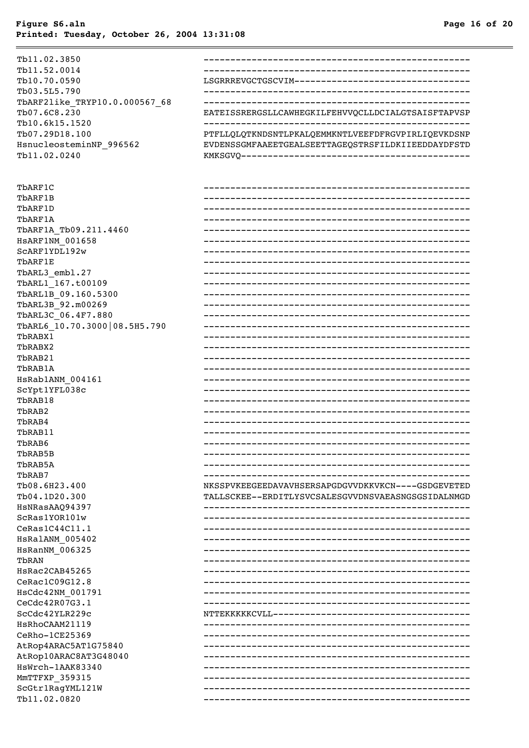| Tb11.02.3850                     |                                                    |
|----------------------------------|----------------------------------------------------|
| Tb11.52.0014                     |                                                    |
| Tb10.70.0590                     | LSGRRREVGCTGSCVIM------------------------------    |
| Tb03.5L5.790                     |                                                    |
| TbARF2like TRYP10.0.000567 68    |                                                    |
| Tb07.6C8.230                     | EATEISSRERGSLLCAWHEGKILFEHVVQCLLDCIALGTSAISFTAPVSP |
| Tb10.6k15.1520                   |                                                    |
| Tb07.29D18.100                   | PTFLLQLQTKNDSNTLPKALQEMMKNTLVEEFDFRGVPIRLIQEVKDSNP |
| HsnucleosteminNP_996562          | EVDENSSGMFAAEETGEALSEETTAGEQSTRSFILDKIIEEDDAYDFSTD |
| Tb11.02.0240                     |                                                    |
|                                  |                                                    |
| TbARF1C                          |                                                    |
| TbARF1B                          |                                                    |
| TbARF1D                          |                                                    |
| TbARF1A                          |                                                    |
| TbARF1A_Tb09.211.4460            |                                                    |
| <b>HSARF1NM 001658</b>           |                                                    |
| SCARF1YDL192w                    |                                                    |
| TbARF1E                          |                                                    |
| TbARL3 embl.27                   |                                                    |
| TbARL1 167.t00109                |                                                    |
| TbARL1B 09.160.5300              |                                                    |
| TbARL3B 92.m00269                |                                                    |
| TbARL3C 06.4F7.880               |                                                    |
| TbARL6_10.70.3000 08.5H5.790     |                                                    |
| TbRABX1                          |                                                    |
| TbRABX2                          |                                                    |
| TbRAB21                          |                                                    |
| TbRAB1A                          |                                                    |
| HSRab1ANM 004161                 |                                                    |
| ScYpt1YFL038c                    |                                                    |
| TbRAB18                          |                                                    |
| TbRAB2                           |                                                    |
| TbRAB4                           |                                                    |
| TbRAB11                          |                                                    |
| TbRAB6                           |                                                    |
| TbRAB5B                          |                                                    |
| TbRAB5A                          |                                                    |
| TbRAB7                           |                                                    |
| Tb08.6H23.400                    | NKSSPVKEEGEEDAVAVHSERSAPGDGVVDKKVKCN----GSDGEVETED |
| Tb04.1D20.300                    | TALLSCKEE--ERDITLYSVCSALESGVVDNSVAEASNGSGSIDALNMGD |
| HSNRasAAQ94397                   |                                                    |
| ScRas1YOR101w                    |                                                    |
| Cekas1C44C11.1                   |                                                    |
| HSRalANM 005402                  |                                                    |
| HsRanNM 006325                   |                                                    |
| TbRAN                            |                                                    |
| HsRac2CAB45265                   |                                                    |
| CeRac1C09G12.8                   |                                                    |
| HsCdc42NM 001791                 |                                                    |
| CeCdc42R07G3.1<br>ScCdc42YLR229c |                                                    |
| HSRhoCAAM21119                   |                                                    |
| CeRho-1CE25369                   |                                                    |
| AtRop4ARAC5AT1G75840             |                                                    |
| AtRop10ARAC8AT3G48040            |                                                    |
| HsWrch-1AAK83340                 |                                                    |
| MmTTFXP_359315                   |                                                    |
| ScGtr1RagYML121W                 |                                                    |
| Tb11.02.0820                     |                                                    |
|                                  |                                                    |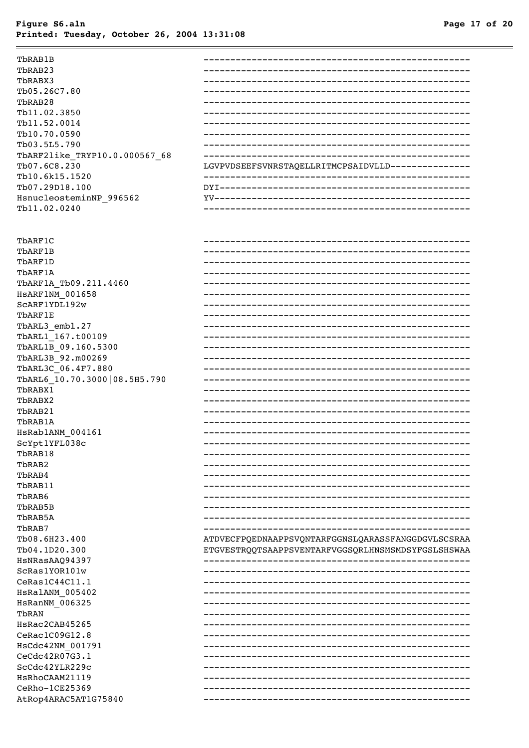| TbRAB1B                        |                                                    |
|--------------------------------|----------------------------------------------------|
| TbRAB23                        |                                                    |
| TbRABX3                        |                                                    |
| Tb05.26C7.80                   |                                                    |
| TbRAB28                        |                                                    |
| Tb11.02.3850                   |                                                    |
| Tb11.52.0014                   |                                                    |
| Tb10.70.0590                   |                                                    |
| Tb03.5L5.790                   |                                                    |
| TbARF2like_TRYP10.0.000567_68  |                                                    |
| Tb07.6C8.230                   | LGVPVDSEEFSVNRSTAQELLRITMCPSAIDVLLD--------------- |
| Tb10.6k15.1520                 |                                                    |
| Tb07.29D18.100                 |                                                    |
| HsnucleosteminNP_996562        |                                                    |
| Tb11.02.0240                   |                                                    |
|                                |                                                    |
| TbARF1C                        |                                                    |
| TbARF1B                        |                                                    |
| TbARF1D                        |                                                    |
| TbARF1A                        |                                                    |
| TbARF1A Tb09.211.4460          |                                                    |
| HSARF1NM_001658                | -------------------------------------              |
| SCARF1YDL192w                  |                                                    |
| TbARF1E                        |                                                    |
| TbARL3_embl.27                 |                                                    |
| TbARL1_167.t00109              |                                                    |
| TbARL1B_09.160.5300            |                                                    |
| TbARL3B_92.m00269              |                                                    |
| TbARL3C_06.4F7.880             |                                                    |
| TbARL6_10.70.3000   08.5H5.790 |                                                    |
| TbRABX1                        |                                                    |
| TbRABX2                        |                                                    |
| TbRAB21                        |                                                    |
| TbRAB1A                        |                                                    |
| HsRab1ANM_004161               |                                                    |
| ScYpt1YFL038c                  |                                                    |
| TbRAB18                        |                                                    |
|                                |                                                    |
| TbRAB2                         |                                                    |
| TbRAB4                         |                                                    |
| TbRAB11                        |                                                    |
| TbRAB6                         |                                                    |
| TbRAB5B                        |                                                    |
| TbRAB5A                        |                                                    |
| TbRAB7                         |                                                    |
| Tb08.6H23.400                  | ATDVECFPQEDNAAPPSVQNTARFGGNSLQARASSFANGGDGVLSCSRAA |
| Tb04.1D20.300                  | ETGVESTRQQTSAAPPSVENTARFVGGSQRLHNSMSMDSYFGSLSHSWAA |
| HsNRasAAQ94397                 |                                                    |
| ScRas1YOR101w                  |                                                    |
| CeRas1C44C11.1                 |                                                    |
| HsRalANM_005402                |                                                    |
| HsRanNM_006325                 |                                                    |
| TbRAN                          |                                                    |
| HsRac2CAB45265                 |                                                    |
| CeRac1C09G12.8                 |                                                    |
| HsCdc42NM 001791               |                                                    |
| CeCdc42R07G3.1                 |                                                    |
| ScCdc42YLR229c                 |                                                    |
| HsRhoCAAM21119                 |                                                    |
| CeRho-1CE25369                 |                                                    |
| AtRop4ARAC5AT1G75840           |                                                    |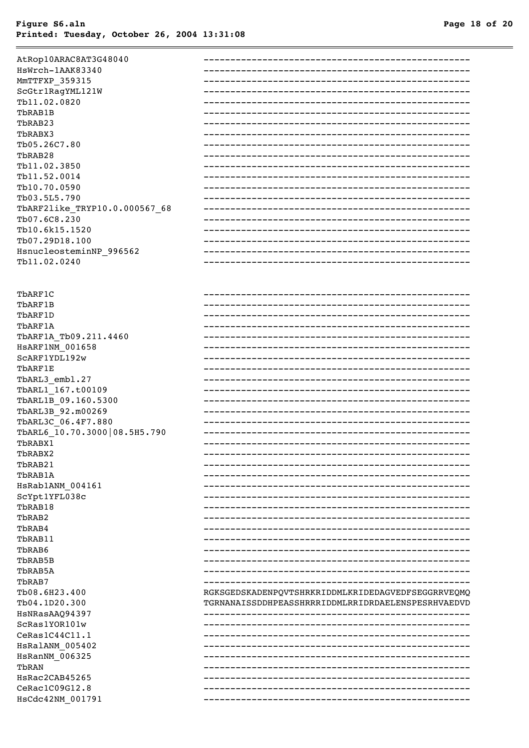AtRop10ARAC8AT3G48040 HsWrch-1AAK83340 MMTTFXP 359315 ScGtr1RagYML121W Tb11.02.0820 TbRAB1B ThRAR23 **ThRARY3** Tb05.26C7.80 ThRAB28 Tb11.02.3850 Tb11.52.0014 Tb10.70.0590 Tb03.5L5.790 TbARF2like TRYP10.0.000567 68 Tb07.6C8.230 Tb10.6k15.1520 Tb07.29D18.100 HsnucleosteminNP 996562 Tb11.02.0240 TbARF1C TbARF1B ThARF1D ThARF1A TbARF1A Tb09.211.4460 **HSARF1NM 001658** SCARF1YDL192w TbARF1E TbARL3\_embl.27 TbARL1 167.t00109 TbARL1B 09.160.5300 TbARL3B 92.m00269 TbARL3C\_06.4F7.880 TbARL6 10.70.3000 08.5H5.790 TbRABX1 TbRABX2 TbRAB21 TbRAB1A HSRab1ANM 004161 ScYpt1YFL038c TbRAB18 TbRAB2 TbRAB4 TbRAB11 TbRAB6 TbRAB5B TbRAB5A ThRAB7 Tb08.6H23.400 RGKSGEDSKADENPQVTSHRKRIDDMLKRIDEDAGVEDFSEGGRRVEQMQ Tb04.1D20.300 TGRNANAISSDDHPEASSHRRRIDDMLRRIDRDAELENSPESRHVAEDVD HSNRasAAQ94397 ScRas1YOR101w CeRas1C44C11.1 HSRalANM 005402 HsRanNM 006325 TbRAN HsRac2CAB45265 CeRac1C09G12.8 HsCdc42NM\_001791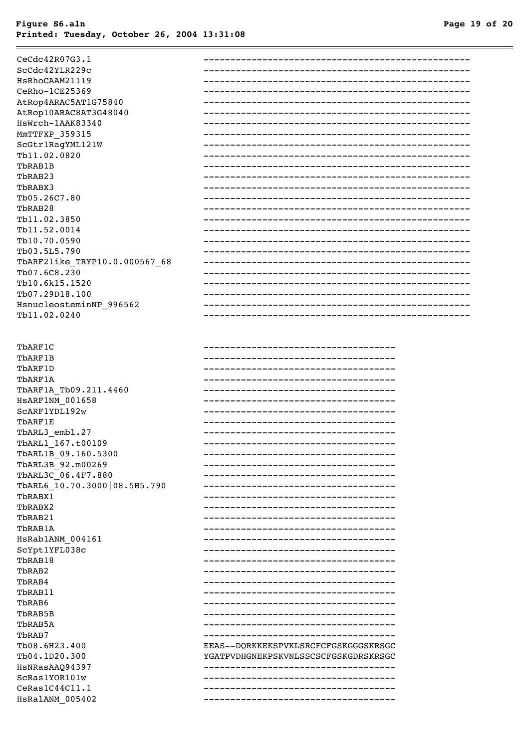| CeCdc42R07G3.1                |                                        |
|-------------------------------|----------------------------------------|
| ScCdc42YLR229c                |                                        |
| HsRhoCAAM21119                |                                        |
| CeRho-1CE25369                |                                        |
| AtRop4ARAC5AT1G75840          |                                        |
| AtRop10ARAC8AT3G48040         |                                        |
| HsWrch-1AAK83340              |                                        |
| MMTTFXP 359315                |                                        |
| ScGtr1RagYML121W              |                                        |
| Tb11.02.0820                  |                                        |
| TbRAB1B                       |                                        |
| TbRAB23                       |                                        |
|                               |                                        |
| TbRABX3<br>Tb05.26C7.80       |                                        |
|                               |                                        |
| TbRAB28                       |                                        |
| Tb11.02.3850                  |                                        |
| Tb11.52.0014                  |                                        |
| Tb10.70.0590                  |                                        |
| Tb03.5L5.790                  |                                        |
| TbARF2like TRYP10.0.000567 68 |                                        |
| Tb07.6C8.230                  |                                        |
| Tb10.6k15.1520                |                                        |
| Tb07.29D18.100                |                                        |
| HsnucleosteminNP 996562       |                                        |
| Tb11.02.0240                  |                                        |
|                               |                                        |
| TbARF1C                       | -----------------------------------    |
| TbARF1B                       | ____________________________________   |
| TbARF1D                       | ____________________________________   |
| TbARF1A                       |                                        |
| TbARF1A Tb09.211.4460         |                                        |
| <b>HSARF1NM 001658</b>        |                                        |
| SCARF1YDL192w                 | ____________________________________   |
| TbARF1E                       | ____________________________________   |
| TbARL3 embl.27                | ____________________________________   |
| TbARL1 167.t00109             | ______________________________________ |
| TbARL1B 09.160.5300           |                                        |
| TbARL3B 92.m00269             | -----------------------------          |
| TbARL3C 06.4F7.880            | ----------------------------------     |
| TbARL6_10.70.3000 08.5H5.790  | ----------------------------------     |
|                               | _____________________________________  |
| TbRABX1                       |                                        |
| TbRABX2                       | ____________________________________   |
| TbRAB21                       | _____________________________________  |
| TbRAB1A                       | -------------------------------------- |
| HsRab1ANM 004161              |                                        |
| ScYpt1YFL038c                 |                                        |
| TbRAB18                       | -------------------------------------- |
| TbRAB2                        | -------------------------------------- |
| TbRAB4                        |                                        |
| TbRAB11                       |                                        |
| TbRAB6                        | -------------------------------------- |
| TbRAB5B                       | ____________________________________   |
| TbRAB5A                       | -----------------------------------    |
| TbRAB7                        | ____________________________________   |
| Tb08.6H23.400                 | EEAS--DQRKKEKSPVKLSRCFCFGSKGGGSKRSGC   |
| Tb04.1D20.300                 | YGATPVDHGNEKPSKVNLSSCSCFGSKGDRSKRSGC   |
| HsNRasAAQ94397                |                                        |
| ScRas1YOR101w                 | -----------------------------------    |
|                               | -----------------------------          |
| CeRas1C44C11.1                |                                        |
| HSRalANM 005402               |                                        |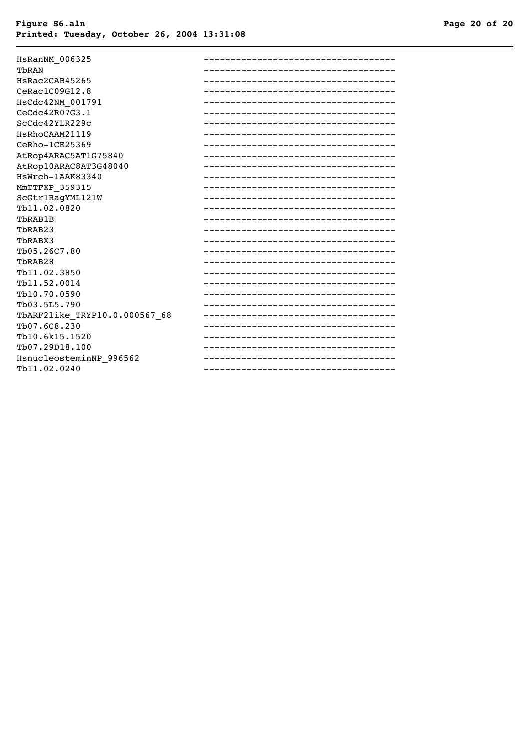| HsRanNM 006325                |                                        |
|-------------------------------|----------------------------------------|
| TbRAN                         |                                        |
| HsRac2CAB45265                | ------------------------------------   |
| CeRac1C09G12.8                | -------------------------------------- |
| HsCdc42NM 001791              |                                        |
| CeCdc42R07G3.1                |                                        |
| ScCdc42YLR229c                | ----------------------------------     |
| HSRhoCAAM21119                | -------------------------------------- |
| CeRho-1CE25369                |                                        |
| AtRop4ARAC5AT1G75840          | -----------------------------          |
| AtRop10ARAC8AT3G48040         |                                        |
| HsWrch-1AAK83340              |                                        |
| MMTTFXP 359315                |                                        |
| ScGtr1RagYML121W              |                                        |
| Tb11.02.0820                  | _________________________________      |
| TbRAB1B                       | -------------------------------------  |
| TbRAB23                       | _________________________________      |
| TbRABX3                       | _________________________________      |
| Tb05.26C7.80                  |                                        |
| TbRAB28                       | _____________________________________  |
| Tb11.02.3850                  | ----------------------------------     |
| Tb11.52.0014                  |                                        |
| Tb10.70.0590                  |                                        |
| Tb03.5L5.790                  |                                        |
| TbARF2like TRYP10.0.000567 68 |                                        |
| Tb07.6C8.230                  |                                        |
| Tb10.6k15.1520                | ______________________________________ |
| Tb07.29D18.100                |                                        |
| HsnucleosteminNP 996562       | -------------------------------------- |
| Tb11.02.0240                  |                                        |
|                               |                                        |